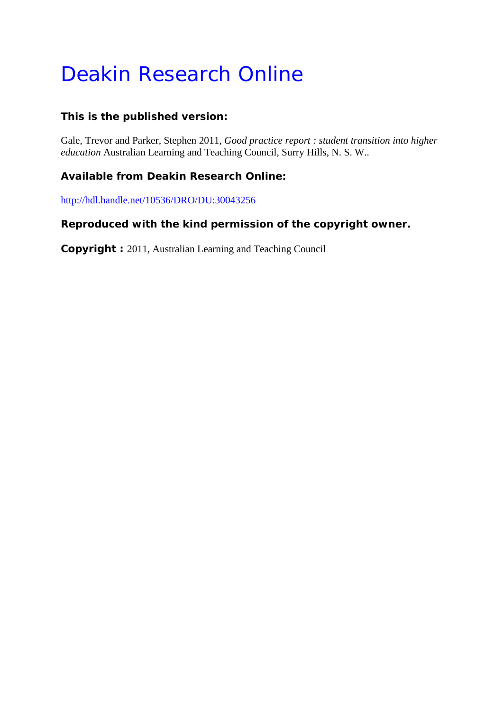# Deakin Research Online

# **This is the published version:**

Gale, Trevor and Parker, Stephen 2011*, Good practice report : student transition into higher education* Australian Learning and Teaching Council, Surry Hills, N. S. W..

# **Available from Deakin Research Online:**

http://hdl.handle.net/10536/DRO/DU:30043256

# **Reproduced with the kind permission of the copyright owner.**

**Copyright :** 2011, Australian Learning and Teaching Council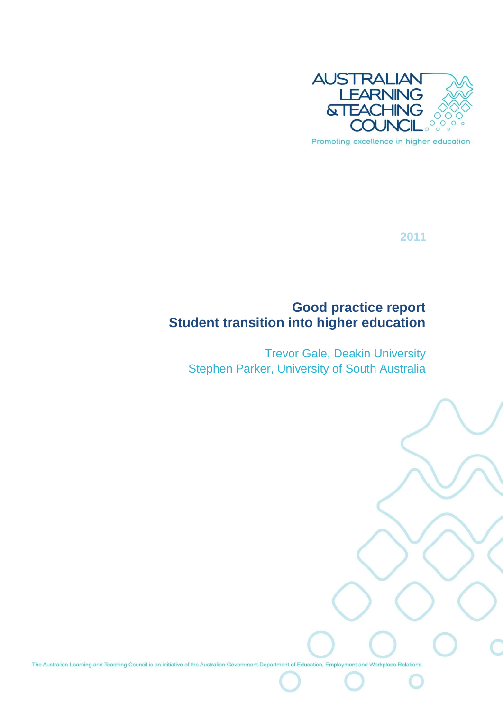

Promoting excellence in higher education

**2011**

# **Good practice report Student transition into higher education**

Trevor Gale, Deakin University Stephen Parker, University of South Australia

irning and Teaching Council is an initiative of the Australian Government Dep<br>.

The Australian Learning and Teaching  $\mathcal{L}(\mathcal{A})$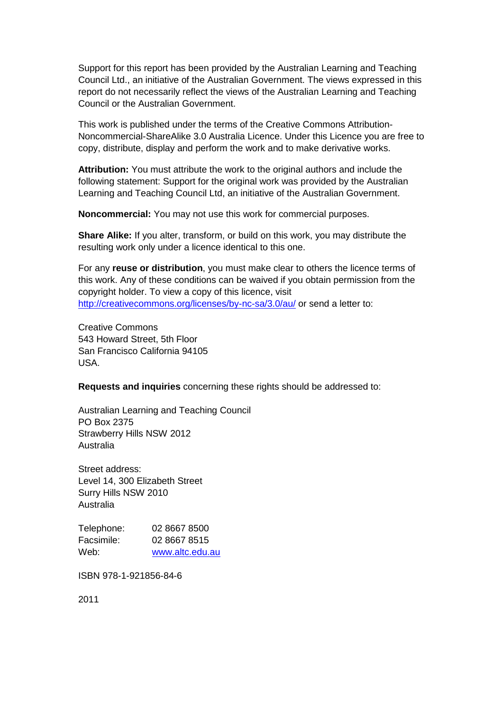Support for this report has been provided by the Australian Learning and Teaching Council Ltd., an initiative of the Australian Government. The views expressed in this report do not necessarily reflect the views of the Australian Learning and Teaching Council or the Australian Government.

This work is published under the terms of the Creative Commons Attribution-Noncommercial-ShareAlike 3.0 Australia Licence. Under this Licence you are free to copy, distribute, display and perform the work and to make derivative works.

**Attribution:** You must attribute the work to the original authors and include the following statement: Support for the original work was provided by the Australian Learning and Teaching Council Ltd, an initiative of the Australian Government.

**Noncommercial:** You may not use this work for commercial purposes.

**Share Alike:** If you alter, transform, or build on this work, you may distribute the resulting work only under a licence identical to this one.

For any **reuse or distribution**, you must make clear to others the licence terms of this work. Any of these conditions can be waived if you obtain permission from the copyright holder. To view a copy of this licence, visit <http://creativecommons.org/licenses/by-nc-sa/3.0/au/> or send a letter to:

Creative Commons 543 Howard Street, 5th Floor San Francisco California 94105 USA.

**Requests and inquiries** concerning these rights should be addressed to:

Australian Learning and Teaching Council PO Box 2375 Strawberry Hills NSW 2012 Australia

Street address: Level 14, 300 Elizabeth Street Surry Hills NSW 2010 Australia

Telephone: 02 8667 8500 Facsimile: 02 8667 8515 Web: [www.altc.edu.au](http://www.altc.edu.au/)

ISBN 978-1-921856-84-6

2011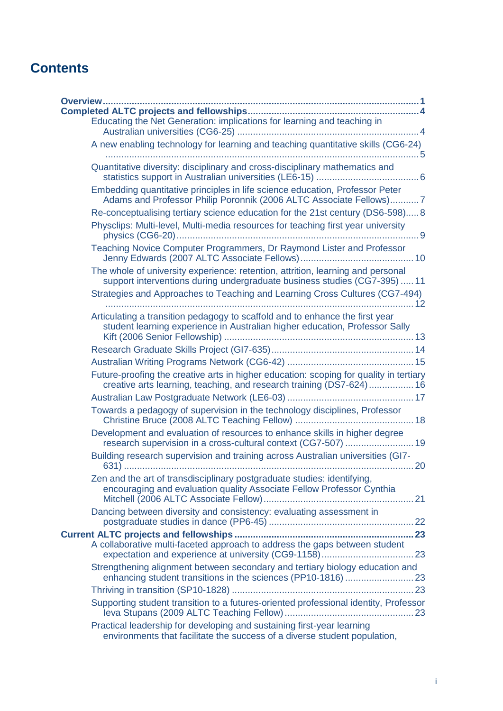# **Contents**

| Educating the Net Generation: implications for learning and teaching in                                                                                         |
|-----------------------------------------------------------------------------------------------------------------------------------------------------------------|
|                                                                                                                                                                 |
| A new enabling technology for learning and teaching quantitative skills (CG6-24)                                                                                |
| Quantitative diversity: disciplinary and cross-disciplinary mathematics and                                                                                     |
| Embedding quantitative principles in life science education, Professor Peter<br>Adams and Professor Philip Poronnik (2006 ALTC Associate Fellows)7              |
| Re-conceptualising tertiary science education for the 21st century (DS6-598)8                                                                                   |
| Physclips: Multi-level, Multi-media resources for teaching first year university                                                                                |
| Teaching Novice Computer Programmers, Dr Raymond Lister and Professor                                                                                           |
| The whole of university experience: retention, attrition, learning and personal<br>support interventions during undergraduate business studies (CG7-395)  11    |
| Strategies and Approaches to Teaching and Learning Cross Cultures (CG7-494)                                                                                     |
| Articulating a transition pedagogy to scaffold and to enhance the first year<br>student learning experience in Australian higher education, Professor Sally     |
|                                                                                                                                                                 |
|                                                                                                                                                                 |
| Future-proofing the creative arts in higher education: scoping for quality in tertiary<br>creative arts learning, teaching, and research training (DS7-624)  16 |
|                                                                                                                                                                 |
| Towards a pedagogy of supervision in the technology disciplines, Professor                                                                                      |
| Development and evaluation of resources to enhance skills in higher degree                                                                                      |
| Building research supervision and training across Australian universities (GI7-                                                                                 |
| Zen and the art of transdisciplinary postgraduate studies: identifying,<br>encouraging and evaluation quality Associate Fellow Professor Cynthia                |
| Dancing between diversity and consistency: evaluating assessment in                                                                                             |
|                                                                                                                                                                 |
| A collaborative multi-faceted approach to address the gaps between student                                                                                      |
| Strengthening alignment between secondary and tertiary biology education and                                                                                    |
|                                                                                                                                                                 |
| Supporting student transition to a futures-oriented professional identity, Professor                                                                            |
| Practical leadership for developing and sustaining first-year learning<br>environments that facilitate the success of a diverse student population,             |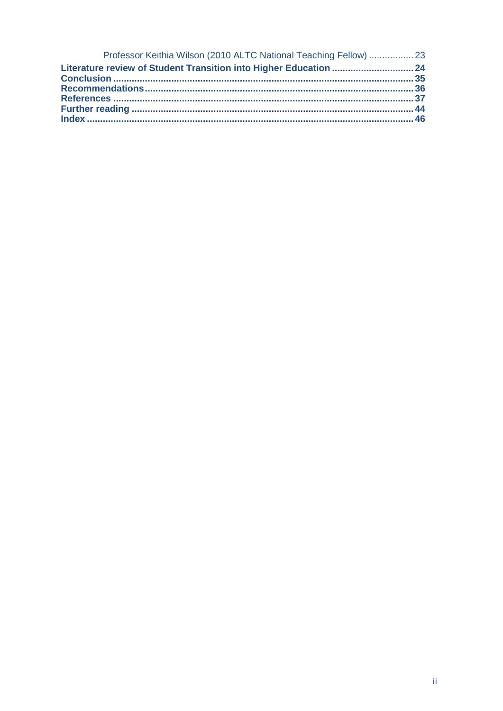| Professor Keithia Wilson (2010 ALTC National Teaching Fellow)  23 |  |
|-------------------------------------------------------------------|--|
|                                                                   |  |
|                                                                   |  |
|                                                                   |  |
|                                                                   |  |
|                                                                   |  |
|                                                                   |  |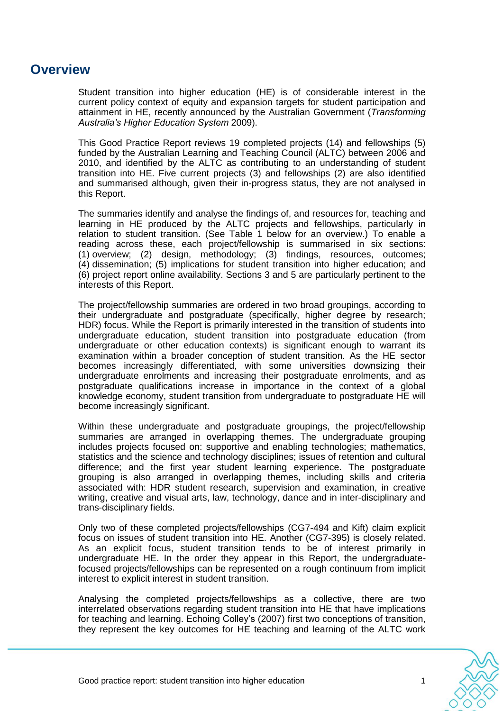# **Overview**

Student transition into higher education (HE) is of considerable interest in the current policy context of equity and expansion targets for student participation and attainment in HE, recently announced by the Australian Government (*Transforming Australia"s Higher Education System* 2009).

This Good Practice Report reviews 19 completed projects (14) and fellowships (5) funded by the Australian Learning and Teaching Council (ALTC) between 2006 and 2010, and identified by the ALTC as contributing to an understanding of student transition into HE. Five current projects (3) and fellowships (2) are also identified and summarised although, given their in-progress status, they are not analysed in this Report.

The summaries identify and analyse the findings of, and resources for, teaching and learning in HE produced by the ALTC projects and fellowships, particularly in relation to student transition. (See Table 1 below for an overview.) To enable a reading across these, each project/fellowship is summarised in six sections: (1) overview; (2) design, methodology; (3) findings, resources, outcomes; (4) dissemination; (5) implications for student transition into higher education; and (6) project report online availability. Sections 3 and 5 are particularly pertinent to the interests of this Report.

The project/fellowship summaries are ordered in two broad groupings, according to their undergraduate and postgraduate (specifically, higher degree by research; HDR) focus. While the Report is primarily interested in the transition of students into undergraduate education, student transition into postgraduate education (from undergraduate or other education contexts) is significant enough to warrant its examination within a broader conception of student transition. As the HE sector becomes increasingly differentiated, with some universities downsizing their undergraduate enrolments and increasing their postgraduate enrolments, and as postgraduate qualifications increase in importance in the context of a global knowledge economy, student transition from undergraduate to postgraduate HE will become increasingly significant.

Within these undergraduate and postgraduate groupings, the project/fellowship summaries are arranged in overlapping themes. The undergraduate grouping includes projects focused on: supportive and enabling technologies; mathematics, statistics and the science and technology disciplines; issues of retention and cultural difference; and the first year student learning experience. The postgraduate grouping is also arranged in overlapping themes, including skills and criteria associated with: HDR student research, supervision and examination, in creative writing, creative and visual arts, law, technology, dance and in inter-disciplinary and trans-disciplinary fields.

Only two of these completed projects/fellowships (CG7-494 and Kift) claim explicit focus on issues of student transition into HE. Another (CG7-395) is closely related. As an explicit focus, student transition tends to be of interest primarily in undergraduate HE. In the order they appear in this Report, the undergraduatefocused projects/fellowships can be represented on a rough continuum from implicit interest to explicit interest in student transition.

Analysing the completed projects/fellowships as a collective, there are two interrelated observations regarding student transition into HE that have implications for teaching and learning. Echoing Colley's (2007) first two conceptions of transition, they represent the key outcomes for HE teaching and learning of the ALTC work

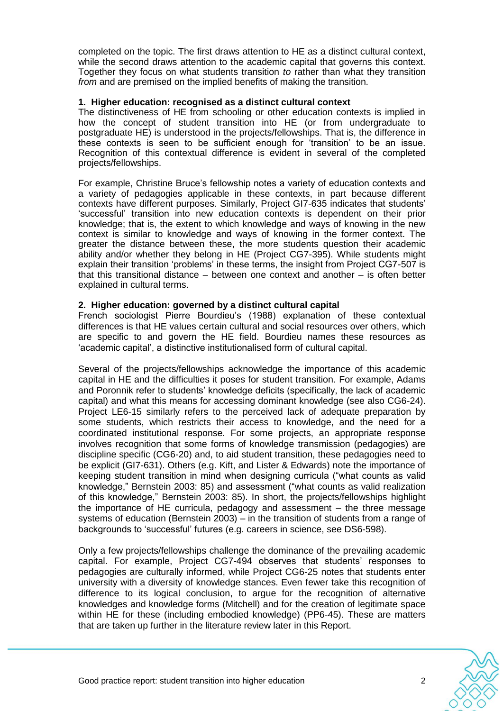completed on the topic. The first draws attention to HE as a distinct cultural context, while the second draws attention to the academic capital that governs this context. Together they focus on what students transition *to* rather than what they transition *from* and are premised on the implied benefits of making the transition.

#### **1. Higher education: recognised as a distinct cultural context**

The distinctiveness of HE from schooling or other education contexts is implied in how the concept of student transition into HE (or from undergraduate to postgraduate HE) is understood in the projects/fellowships. That is, the difference in these contexts is seen to be sufficient enough for 'transition' to be an issue. Recognition of this contextual difference is evident in several of the completed projects/fellowships.

For example, Christine Bruce's fellowship notes a variety of education contexts and a variety of pedagogies applicable in these contexts, in part because different contexts have different purposes. Similarly, Project GI7-635 indicates that students' ‗successful' transition into new education contexts is dependent on their prior knowledge; that is, the extent to which knowledge and ways of knowing in the new context is similar to knowledge and ways of knowing in the former context. The greater the distance between these, the more students question their academic ability and/or whether they belong in HE (Project CG7-395). While students might explain their transition 'problems' in these terms, the insight from Project CG7-507 is that this transitional distance – between one context and another – is often better explained in cultural terms.

#### **2. Higher education: governed by a distinct cultural capital**

French sociologist Pierre Bourdieu's (1988) explanation of these contextual differences is that HE values certain cultural and social resources over others, which are specific to and govern the HE field. Bourdieu names these resources as ‗academic capital', a distinctive institutionalised form of cultural capital.

Several of the projects/fellowships acknowledge the importance of this academic capital in HE and the difficulties it poses for student transition. For example, Adams and Poronnik refer to students' knowledge deficits (specifically, the lack of academic capital) and what this means for accessing dominant knowledge (see also CG6-24). Project LE6-15 similarly refers to the perceived lack of adequate preparation by some students, which restricts their access to knowledge, and the need for a coordinated institutional response. For some projects, an appropriate response involves recognition that some forms of knowledge transmission (pedagogies) are discipline specific (CG6-20) and, to aid student transition, these pedagogies need to be explicit (GI7-631). Others (e.g. Kift, and Lister & Edwards) note the importance of keeping student transition in mind when designing curricula ("what counts as valid knowledge," Bernstein 2003: 85) and assessment ("what counts as valid realization of this knowledge," Bernstein 2003: 85). In short, the projects/fellowships highlight the importance of HE curricula, pedagogy and assessment – the three message systems of education (Bernstein 2003) – in the transition of students from a range of backgrounds to 'successful' futures (e.g. careers in science, see DS6-598).

Only a few projects/fellowships challenge the dominance of the prevailing academic capital. For example, Project CG7-494 observes that students' responses to pedagogies are culturally informed, while Project CG6-25 notes that students enter university with a diversity of knowledge stances. Even fewer take this recognition of difference to its logical conclusion, to argue for the recognition of alternative knowledges and knowledge forms (Mitchell) and for the creation of legitimate space within HE for these (including embodied knowledge) (PP6-45). These are matters that are taken up further in the literature review later in this Report.

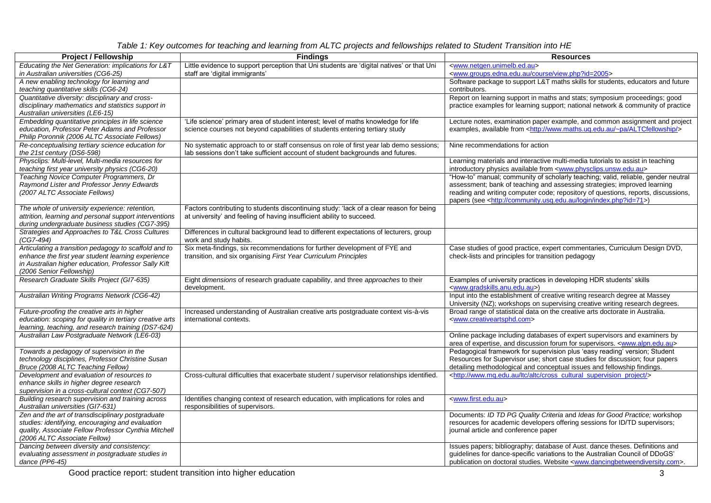| <b>Project / Fellowship</b>                                                            | <b>Findings</b>                                                                            | <b>Resources</b>                                                                                                                                              |
|----------------------------------------------------------------------------------------|--------------------------------------------------------------------------------------------|---------------------------------------------------------------------------------------------------------------------------------------------------------------|
| Educating the Net Generation: implications for L&T                                     | Little evidence to support perception that Uni students are 'digital natives' or that Uni  | <www.netgen.unimelb.ed.au></www.netgen.unimelb.ed.au>                                                                                                         |
| in Australian universities (CG6-25)                                                    | staff are 'digital immigrants'                                                             | <www.groups.edna.edu.au course="" view.php?id="2005"></www.groups.edna.edu.au>                                                                                |
| A new enabling technology for learning and<br>teaching quantitative skills (CG6-24)    |                                                                                            | Software package to support L&T maths skills for students, educators and future<br>contributors.                                                              |
| Quantitative diversity: disciplinary and cross-                                        |                                                                                            | Report on learning support in maths and stats; symposium proceedings; good                                                                                    |
| disciplinary mathematics and statistics support in                                     |                                                                                            | practice examples for learning support; national network & community of practice                                                                              |
| Australian universities (LE6-15)                                                       |                                                                                            |                                                                                                                                                               |
| Embedding quantitative principles in life science                                      | 'Life science' primary area of student interest; level of maths knowledge for life         | Lecture notes, examination paper example, and common assignment and project                                                                                   |
| education. Professor Peter Adams and Professor                                         | science courses not beyond capabilities of students entering tertiary study                | examples, available from <http: altcfellowship="" www.maths.ug.edu.au="" ~pa=""></http:>                                                                      |
| Philip Poronnik (2006 ALTC Associate Fellows)                                          |                                                                                            |                                                                                                                                                               |
| Re-conceptualising tertiary science education for                                      | No systematic approach to or staff consensus on role of first year lab demo sessions;      | Nine recommendations for action                                                                                                                               |
| the 21st century (DS6-598)                                                             | lab sessions don't take sufficient account of student backgrounds and futures.             |                                                                                                                                                               |
| Physclips: Multi-level, Multi-media resources for                                      |                                                                                            | Learning materials and interactive multi-media tutorials to assist in teaching                                                                                |
| teaching first year university physics (CG6-20)                                        |                                                                                            | introductory physics available from <www.physclips.unsw.edu.au></www.physclips.unsw.edu.au>                                                                   |
| Teaching Novice Computer Programmers, Dr                                               |                                                                                            | "How-to" manual; community of scholarly teaching; valid, reliable, gender neutral                                                                             |
| Raymond Lister and Professor Jenny Edwards<br>(2007 ALTC Associate Fellows)            |                                                                                            | assessment; bank of teaching and assessing strategies; improved learning<br>reading and writing computer code; repository of questions, reports, discussions, |
|                                                                                        |                                                                                            | papers (see <http: community.usq.edu.au="" index.php?id="71" login="">)</http:>                                                                               |
| The whole of university experience: retention,                                         | Factors contributing to students discontinuing study: 'lack of a clear reason for being    |                                                                                                                                                               |
| attrition, learning and personal support interventions                                 | at university' and feeling of having insufficient ability to succeed.                      |                                                                                                                                                               |
| during undergraduate business studies (CG7-395)                                        |                                                                                            |                                                                                                                                                               |
| Strategies and Approaches to T&L Cross Cultures                                        | Differences in cultural background lead to different expectations of lecturers, group      |                                                                                                                                                               |
| (CG7-494)                                                                              | work and study habits.                                                                     |                                                                                                                                                               |
| Articulating a transition pedagogy to scaffold and to                                  | Six meta-findings, six recommendations for further development of FYE and                  | Case studies of good practice, expert commentaries, Curriculum Design DVD,                                                                                    |
| enhance the first year student learning experience                                     | transition, and six organising First Year Curriculum Principles                            | check-lists and principles for transition pedagogy                                                                                                            |
| in Australian higher education, Professor Sally Kift                                   |                                                                                            |                                                                                                                                                               |
| (2006 Senior Fellowship)                                                               |                                                                                            |                                                                                                                                                               |
| Research Graduate Skills Project (GI7-635)                                             | Eight dimensions of research graduate capability, and three approaches to their            | Examples of university practices in developing HDR students' skills                                                                                           |
|                                                                                        | development.                                                                               | <www.gradskills.anu.edu.au>)<br/>Input into the establishment of creative writing research degree at Massey</www.gradskills.anu.edu.au>                       |
| Australian Writing Programs Network (CG6-42)                                           |                                                                                            | University (NZ); workshops on supervising creative writing research degrees.                                                                                  |
| Future-proofing the creative arts in higher                                            | Increased understanding of Australian creative arts postgraduate context vis-à-vis         | Broad range of statistical data on the creative arts doctorate in Australia.                                                                                  |
| education: scoping for quality in tertiary creative arts                               | international contexts.                                                                    | <www.creativeartsphd.com></www.creativeartsphd.com>                                                                                                           |
| learning, teaching, and research training (DS7-624)                                    |                                                                                            |                                                                                                                                                               |
| Australian Law Postgraduate Network (LE6-03)                                           |                                                                                            | Online package including databases of expert supervisors and examiners by                                                                                     |
|                                                                                        |                                                                                            | area of expertise, and discussion forum for supervisors. < <b>www.alpn.edu.au&gt;</b>                                                                         |
| Towards a pedagogy of supervision in the                                               |                                                                                            | Pedagogical framework for supervision plus 'easy reading' version; Student                                                                                    |
| technology disciplines, Professor Christine Susan                                      |                                                                                            | Resources for Supervisor use; short case studies for discussion; four papers                                                                                  |
| Bruce (2008 ALTC Teaching Fellow)                                                      |                                                                                            | detailing methodological and conceptual issues and fellowship findings.                                                                                       |
| Development and evaluation of resources to                                             | Cross-cultural difficulties that exacerbate student / supervisor relationships identified. | <http: altc="" cross_cultural_supervision_project="" ltc="" www.mq.edu.au=""></http:>                                                                         |
| enhance skills in higher degree research                                               |                                                                                            |                                                                                                                                                               |
| supervision in a cross-cultural context (CG7-507)                                      |                                                                                            |                                                                                                                                                               |
| Building research supervision and training across                                      | Identifies changing context of research education, with implications for roles and         | <www.first.edu.au></www.first.edu.au>                                                                                                                         |
| Australian universities (GI7-631)<br>Zen and the art of transdisciplinary postgraduate | responsibilities of supervisors.                                                           | Documents: ID TD PG Quality Criteria and Ideas for Good Practice; workshop                                                                                    |
| studies: identifying, encouraging and evaluation                                       |                                                                                            | resources for academic developers offering sessions for ID/TD supervisors;                                                                                    |
| quality, Associate Fellow Professor Cynthia Mitchell                                   |                                                                                            | journal article and conference paper                                                                                                                          |
| (2006 ALTC Associate Fellow)                                                           |                                                                                            |                                                                                                                                                               |
| Dancing between diversity and consistency:                                             |                                                                                            | Issues papers; bibliography; database of Aust. dance theses. Definitions and                                                                                  |
| evaluating assessment in postgraduate studies in                                       |                                                                                            | guidelines for dance-specific variations to the Australian Council of DDoGS'                                                                                  |
| dance (PP6-45)                                                                         |                                                                                            | publication on doctoral studies. Website <www.dancingbetweendiversity.com>.</www.dancingbetweendiversity.com>                                                 |

#### *Table 1: Key outcomes for teaching and learning from ALTC projects and fellowships related to Student Transition into HE*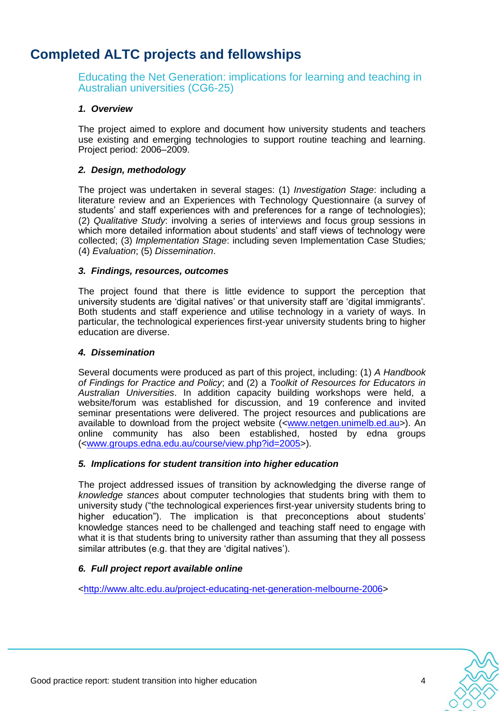# <span id="page-8-1"></span>**Completed ALTC projects and fellowships**

Educating the Net Generation: implications for learning and teaching in Australian universities (CG6-25)

#### *1. Overview*

The project aimed to explore and document how university students and teachers use existing and emerging technologies to support routine teaching and learning. Project period: 2006–2009.

#### *2. Design, methodology*

The project was undertaken in several stages: (1) *Investigation Stage*: including a literature review and an Experiences with Technology Questionnaire (a survey of students' and staff experiences with and preferences for a range of technologies); (2) *Qualitative Study*: involving a series of interviews and focus group sessions in which more detailed information about students' and staff views of technology were collected; (3) *Implementation Stage*: including seven Implementation Case Studies*;*  (4) *Evaluation*; (5) *Dissemination*.

#### *3. Findings, resources, outcomes*

The project found that there is little evidence to support the perception that university students are 'digital natives' or that university staff are 'digital immigrants'. Both students and staff experience and utilise technology in a variety of ways. In particular, the technological experiences first-year university students bring to higher education are diverse.

#### *4. Dissemination*

Several documents were produced as part of this project, including: (1) *A Handbook of Findings for Practice and Policy*; and (2) a *Toolkit of Resources for Educators in Australian Universities*. In addition capacity building workshops were held, a website/forum was established for discussion, and 19 conference and invited seminar presentations were delivered. The project resources and publications are available to download from the project website ([<www.netgen.unimelb.ed.au>](http://www.netgen.unimelb.ed.au/)). An online community has also been established, hosted by edna groups ([<www.groups.edna.edu.au/course/view.php?id=2005>](http://www.groups.edna.edu.au/course/view.php?id=2005)).

#### *5. Implications for student transition into higher education*

The project addressed issues of transition by acknowledging the diverse range of *knowledge stances* about computer technologies that students bring with them to university study ("the technological experiences first-year university students bring to higher education"). The implication is that preconceptions about students' knowledge stances need to be challenged and teaching staff need to engage with what it is that students bring to university rather than assuming that they all possess similar attributes (e.g. that they are 'digital natives').

#### *6. Full project report available online*

<span id="page-8-0"></span>[<http://www.altc.edu.au/project-educating-net-generation-melbourne-2006>](http://www.altc.edu.au/project-educating-net-generation-melbourne-2006)

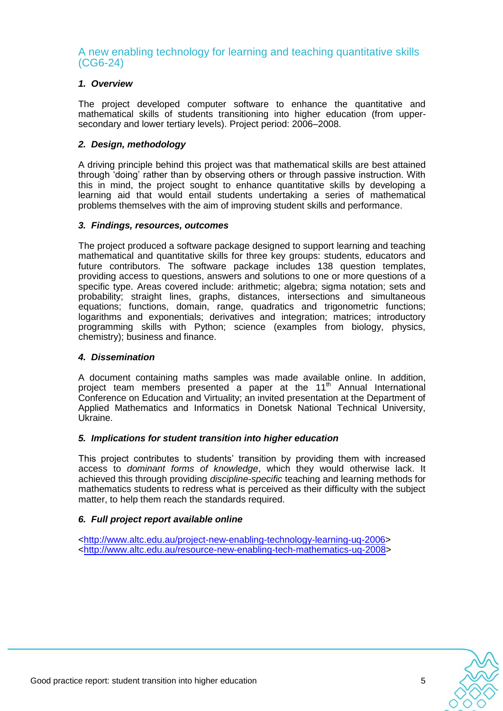A new enabling technology for learning and teaching quantitative skills (CG6-24)

#### *1. Overview*

The project developed computer software to enhance the quantitative and mathematical skills of students transitioning into higher education (from uppersecondary and lower tertiary levels). Project period: 2006–2008.

#### *2. Design, methodology*

A driving principle behind this project was that mathematical skills are best attained through ‗doing' rather than by observing others or through passive instruction. With this in mind, the project sought to enhance quantitative skills by developing a learning aid that would entail students undertaking a series of mathematical problems themselves with the aim of improving student skills and performance.

#### *3. Findings, resources, outcomes*

The project produced a software package designed to support learning and teaching mathematical and quantitative skills for three key groups: students, educators and future contributors. The software package includes 138 question templates, providing access to questions, answers and solutions to one or more questions of a specific type. Areas covered include: arithmetic; algebra; sigma notation; sets and probability; straight lines, graphs, distances, intersections and simultaneous equations; functions, domain, range, quadratics and trigonometric functions; logarithms and exponentials; derivatives and integration; matrices; introductory programming skills with Python; science (examples from biology, physics, chemistry); business and finance.

#### *4. Dissemination*

A document containing maths samples was made available online. In addition, project team members presented a paper at the 11<sup>th</sup> Annual International Conference on Education and Virtuality; an invited presentation at the Department of Applied Mathematics and Informatics in Donetsk National Technical University, Ukraine.

#### *5. Implications for student transition into higher education*

This project contributes to students' transition by providing them with increased access to *dominant forms of knowledge*, which they would otherwise lack. It achieved this through providing *discipline-specific* teaching and learning methods for mathematics students to redress what is perceived as their difficulty with the subject matter, to help them reach the standards required.

#### *6. Full project report available online*

<span id="page-9-0"></span>[<http://www.altc.edu.au/project-new-enabling-technology-learning-uq-2006>](http://www.altc.edu.au/project-new-enabling-technology-learning-uq-2006) [<http://www.altc.edu.au/resource-new-enabling-tech-mathematics-uq-2008>](http://www.altc.edu.au/resource-new-enabling-tech-mathematics-uq-2008)

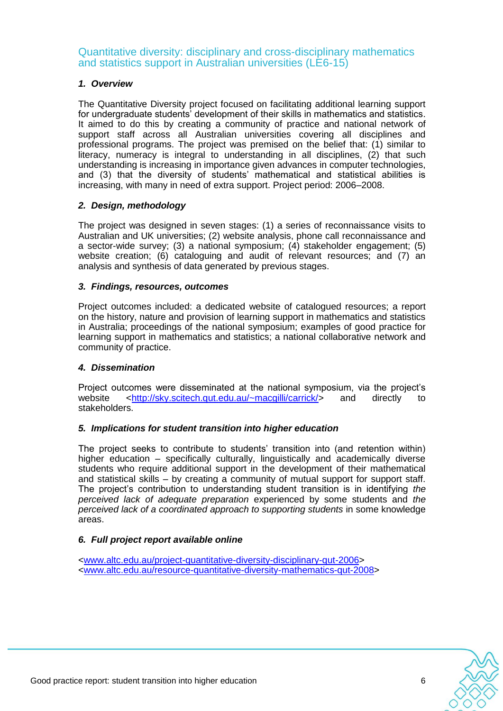Quantitative diversity: disciplinary and cross-disciplinary mathematics and statistics support in Australian universities (LE6-15)

#### *1. Overview*

The Quantitative Diversity project focused on facilitating additional learning support for undergraduate students' development of their skills in mathematics and statistics. It aimed to do this by creating a community of practice and national network of support staff across all Australian universities covering all disciplines and professional programs. The project was premised on the belief that: (1) similar to literacy, numeracy is integral to understanding in all disciplines, (2) that such understanding is increasing in importance given advances in computer technologies, and (3) that the diversity of students' mathematical and statistical abilities is increasing, with many in need of extra support. Project period: 2006–2008.

### *2. Design, methodology*

The project was designed in seven stages: (1) a series of reconnaissance visits to Australian and UK universities; (2) website analysis, phone call reconnaissance and a sector-wide survey; (3) a national symposium; (4) stakeholder engagement; (5) website creation; (6) cataloguing and audit of relevant resources; and (7) an analysis and synthesis of data generated by previous stages.

#### *3. Findings, resources, outcomes*

Project outcomes included: a dedicated website of catalogued resources; a report on the history, nature and provision of learning support in mathematics and statistics in Australia; proceedings of the national symposium; examples of good practice for learning support in mathematics and statistics; a national collaborative network and community of practice.

#### *4. Dissemination*

Project outcomes were disseminated at the national symposium, via the project's website [<http://sky.scitech.qut.edu.au/~macgilli/carrick/>](http://sky.scitech.qut.edu.au/~macgilli/carrick/) and directly to stakeholders.

#### *5. Implications for student transition into higher education*

The project seeks to contribute to students' transition into (and retention within) higher education – specifically culturally, linguistically and academically diverse students who require additional support in the development of their mathematical and statistical skills – by creating a community of mutual support for support staff. The project's contribution to understanding student transition is in identifying *the perceived lack of adequate preparation* experienced by some students and *the perceived lack of a coordinated approach to supporting students* in some knowledge areas.

#### *6. Full project report available online*

<span id="page-10-0"></span>[<www.altc.edu.au/project-quantitative-diversity-disciplinary-qut-2006>](http://www.altc.edu.au/project-quantitative-diversity-disciplinary-qut-2006) [<www.altc.edu.au/resource-quantitative-diversity-mathematics-qut-2008>](http://www.altc.edu.au/resource-quantitative-diversity-mathematics-qut-2008)

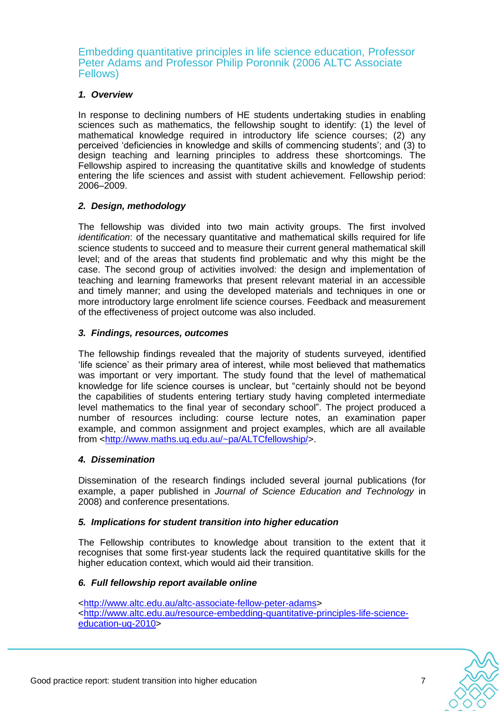Embedding quantitative principles in life science education, Professor Peter Adams and Professor Philip Poronnik (2006 ALTC Associate Fellows)

#### *1. Overview*

In response to declining numbers of HE students undertaking studies in enabling sciences such as mathematics, the fellowship sought to identify: (1) the level of mathematical knowledge required in introductory life science courses; (2) any perceived ‗deficiencies in knowledge and skills of commencing students'; and (3) to design teaching and learning principles to address these shortcomings. The Fellowship aspired to increasing the quantitative skills and knowledge of students entering the life sciences and assist with student achievement. Fellowship period: 2006–2009.

#### *2. Design, methodology*

The fellowship was divided into two main activity groups. The first involved *identification*: of the necessary quantitative and mathematical skills required for life science students to succeed and to measure their current general mathematical skill level; and of the areas that students find problematic and why this might be the case. The second group of activities involved: the design and implementation of teaching and learning frameworks that present relevant material in an accessible and timely manner; and using the developed materials and techniques in one or more introductory large enrolment life science courses. Feedback and measurement of the effectiveness of project outcome was also included.

#### *3. Findings, resources, outcomes*

The fellowship findings revealed that the majority of students surveyed, identified 'life science' as their primary area of interest, while most believed that mathematics was important or very important. The study found that the level of mathematical knowledge for life science courses is unclear, but "certainly should not be beyond the capabilities of students entering tertiary study having completed intermediate level mathematics to the final year of secondary school". The project produced a number of resources including: course lecture notes, an examination paper example, and common assignment and project examples, which are all available from [<http://www.maths.uq.edu.au/~pa/ALTCfellowship/>](http://www.maths.uq.edu.au/~pa/ALTCfellowship/).

#### *4. Dissemination*

Dissemination of the research findings included several journal publications (for example, a paper published in *Journal of Science Education and Technology* in 2008) and conference presentations.

#### *5. Implications for student transition into higher education*

The Fellowship contributes to knowledge about transition to the extent that it recognises that some first-year students lack the required quantitative skills for the higher education context, which would aid their transition.

#### *6. Full fellowship report available online*

<span id="page-11-0"></span>[<http://www.altc.edu.au/altc-associate-fellow-peter-adams>](http://www.altc.edu.au/altc-associate-fellow-peter-adams) [<http://www.altc.edu.au/resource-embedding-quantitative-principles-life-science](http://www.altc.edu.au/resource-embedding-quantitative-principles-life-science-education-uq-2010)[education-uq-2010>](http://www.altc.edu.au/resource-embedding-quantitative-principles-life-science-education-uq-2010)

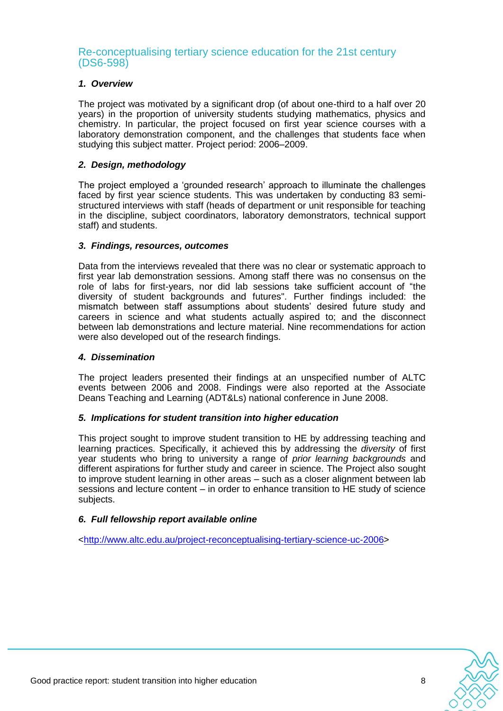### Re-conceptualising tertiary science education for the 21st century (DS6-598)

### *1. Overview*

The project was motivated by a significant drop (of about one-third to a half over 20 years) in the proportion of university students studying mathematics, physics and chemistry. In particular, the project focused on first year science courses with a laboratory demonstration component, and the challenges that students face when studying this subject matter. Project period: 2006–2009.

#### *2. Design, methodology*

The project employed a 'grounded research' approach to illuminate the challenges faced by first year science students. This was undertaken by conducting 83 semistructured interviews with staff (heads of department or unit responsible for teaching in the discipline, subject coordinators, laboratory demonstrators, technical support staff) and students.

#### *3. Findings, resources, outcomes*

Data from the interviews revealed that there was no clear or systematic approach to first year lab demonstration sessions. Among staff there was no consensus on the role of labs for first-years, nor did lab sessions take sufficient account of "the diversity of student backgrounds and futures". Further findings included: the mismatch between staff assumptions about students' desired future study and careers in science and what students actually aspired to; and the disconnect between lab demonstrations and lecture material. Nine recommendations for action were also developed out of the research findings.

#### *4. Dissemination*

The project leaders presented their findings at an unspecified number of ALTC events between 2006 and 2008. Findings were also reported at the Associate Deans Teaching and Learning (ADT&Ls) national conference in June 2008.

#### *5. Implications for student transition into higher education*

This project sought to improve student transition to HE by addressing teaching and learning practices. Specifically, it achieved this by addressing the *diversity* of first year students who bring to university a range of *prior learning backgrounds* and different aspirations for further study and career in science. The Project also sought to improve student learning in other areas – such as a closer alignment between lab sessions and lecture content – in order to enhance transition to HE study of science subjects.

#### *6. Full fellowship report available online*

<span id="page-12-0"></span>[<http://www.altc.edu.au/project-reconceptualising-tertiary-science-uc-2006>](http://www.altc.edu.au/project-reconceptualising-tertiary-science-uc-2006)

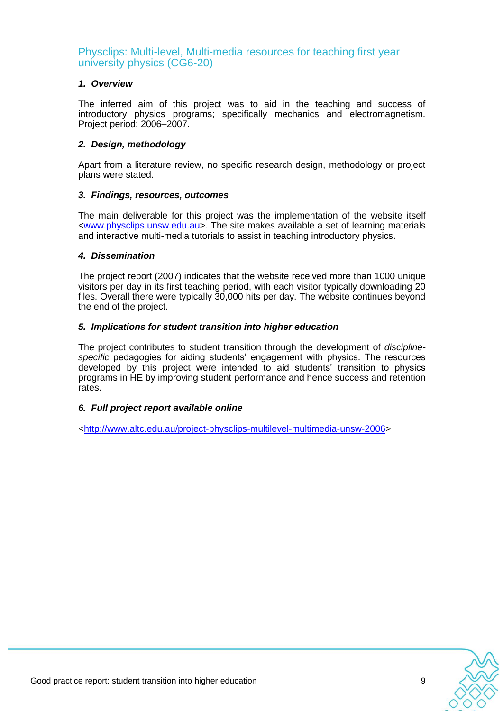Physclips: Multi-level, Multi-media resources for teaching first year university physics (CG6-20)

#### *1. Overview*

The inferred aim of this project was to aid in the teaching and success of introductory physics programs; specifically mechanics and electromagnetism. Project period: 2006–2007.

#### *2. Design, methodology*

Apart from a literature review, no specific research design, methodology or project plans were stated.

#### *3. Findings, resources, outcomes*

The main deliverable for this project was the implementation of the website itself [<www.physclips.unsw.edu.au>](http://www.physclips.unsw.edu.au/). The site makes available a set of learning materials and interactive multi-media tutorials to assist in teaching introductory physics.

#### *4. Dissemination*

The project report (2007) indicates that the website received more than 1000 unique visitors per day in its first teaching period, with each visitor typically downloading 20 files. Overall there were typically 30,000 hits per day. The website continues beyond the end of the project.

#### *5. Implications for student transition into higher education*

The project contributes to student transition through the development of *disciplinespecific* pedagogies for aiding students' engagement with physics. The resources developed by this project were intended to aid students' transition to physics programs in HE by improving student performance and hence success and retention rates.

#### *6. Full project report available online*

<span id="page-13-0"></span>[<http://www.altc.edu.au/project-physclips-multilevel-multimedia-unsw-2006>](http://www.altc.edu.au/project-physclips-multilevel-multimedia-unsw-2006)

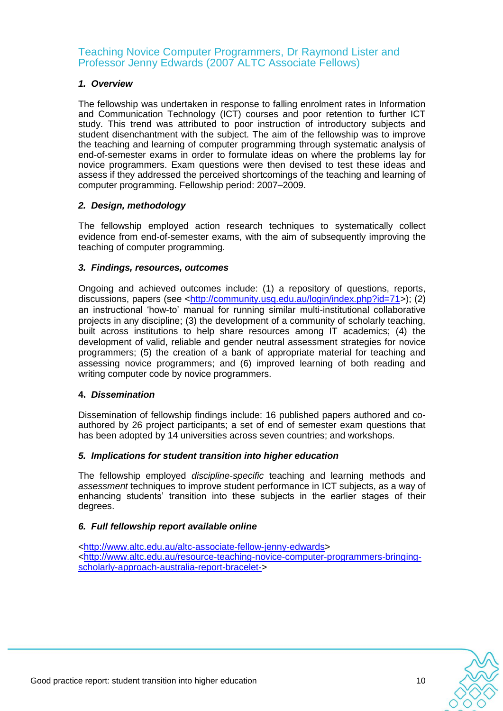Teaching Novice Computer Programmers, Dr Raymond Lister and Professor Jenny Edwards (2007 ALTC Associate Fellows)

#### *1. Overview*

The fellowship was undertaken in response to falling enrolment rates in Information and Communication Technology (ICT) courses and poor retention to further ICT study. This trend was attributed to poor instruction of introductory subjects and student disenchantment with the subject. The aim of the fellowship was to improve the teaching and learning of computer programming through systematic analysis of end-of-semester exams in order to formulate ideas on where the problems lay for novice programmers. Exam questions were then devised to test these ideas and assess if they addressed the perceived shortcomings of the teaching and learning of computer programming. Fellowship period: 2007–2009.

### *2. Design, methodology*

The fellowship employed action research techniques to systematically collect evidence from end-of-semester exams, with the aim of subsequently improving the teaching of computer programming.

#### *3. Findings, resources, outcomes*

Ongoing and achieved outcomes include: (1) a repository of questions, reports, discussions, papers (see [<http://community.usq.edu.au/login/index.php?id=71>](http://community.usq.edu.au/login/index.php?id=71)); (2) an instructional ‗how-to' manual for running similar multi-institutional collaborative projects in any discipline; (3) the development of a community of scholarly teaching, built across institutions to help share resources among IT academics; (4) the development of valid, reliable and gender neutral assessment strategies for novice programmers; (5) the creation of a bank of appropriate material for teaching and assessing novice programmers; and (6) improved learning of both reading and writing computer code by novice programmers.

#### **4.** *Dissemination*

Dissemination of fellowship findings include: 16 published papers authored and coauthored by 26 project participants; a set of end of semester exam questions that has been adopted by 14 universities across seven countries; and workshops.

#### *5. Implications for student transition into higher education*

The fellowship employed *discipline-specific* teaching and learning methods and *assessment* techniques to improve student performance in ICT subjects, as a way of enhancing students' transition into these subjects in the earlier stages of their degrees.

#### *6. Full fellowship report available online*

<span id="page-14-0"></span>[<http://www.altc.edu.au/altc-associate-fellow-jenny-edwards>](http://www.altc.edu.au/altc-associate-fellow-jenny-edwards) [<http://www.altc.edu.au/resource-teaching-novice-computer-programmers-bringing](http://www.altc.edu.au/resource-teaching-novice-computer-programmers-bringing-scholarly-approach-australia-report-bracelet-)[scholarly-approach-australia-report-bracelet->](http://www.altc.edu.au/resource-teaching-novice-computer-programmers-bringing-scholarly-approach-australia-report-bracelet-)

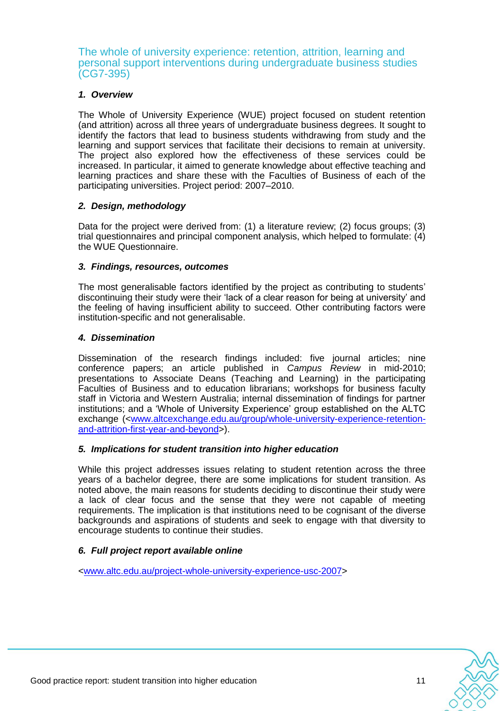The whole of university experience: retention, attrition, learning and personal support interventions during undergraduate business studies (CG7-395)

#### *1. Overview*

The Whole of University Experience (WUE) project focused on student retention (and attrition) across all three years of undergraduate business degrees. It sought to identify the factors that lead to business students withdrawing from study and the learning and support services that facilitate their decisions to remain at university. The project also explored how the effectiveness of these services could be increased. In particular, it aimed to generate knowledge about effective teaching and learning practices and share these with the Faculties of Business of each of the participating universities. Project period: 2007–2010.

#### *2. Design, methodology*

Data for the project were derived from: (1) a literature review; (2) focus groups; (3) trial questionnaires and principal component analysis, which helped to formulate: (4) the WUE Questionnaire.

#### *3. Findings, resources, outcomes*

The most generalisable factors identified by the project as contributing to students' discontinuing their study were their 'lack of a clear reason for being at university' and the feeling of having insufficient ability to succeed. Other contributing factors were institution-specific and not generalisable.

#### *4. Dissemination*

Dissemination of the research findings included: five journal articles; nine conference papers; an article published in *Campus Review* in mid-2010; presentations to Associate Deans (Teaching and Learning) in the participating Faculties of Business and to education librarians; workshops for business faculty staff in Victoria and Western Australia; internal dissemination of findings for partner institutions; and a 'Whole of University Experience' group established on the ALTC exchange ([<www.altcexchange.edu.au/group/whole-university-experience-retention](http://www.altcexchange.edu.au/group/whole-university-experience-retention-and-attrition-first-year-and-beyond)[and-attrition-first-year-and-beyond>](http://www.altcexchange.edu.au/group/whole-university-experience-retention-and-attrition-first-year-and-beyond)).

#### *5. Implications for student transition into higher education*

While this project addresses issues relating to student retention across the three years of a bachelor degree, there are some implications for student transition. As noted above, the main reasons for students deciding to discontinue their study were a lack of clear focus and the sense that they were not capable of meeting requirements. The implication is that institutions need to be cognisant of the diverse backgrounds and aspirations of students and seek to engage with that diversity to encourage students to continue their studies.

#### *6. Full project report available online*

<span id="page-15-0"></span>[<www.altc.edu.au/project-whole-university-experience-usc-2007>](http://www.altc.edu.au/project-whole-university-experience-usc-2007)

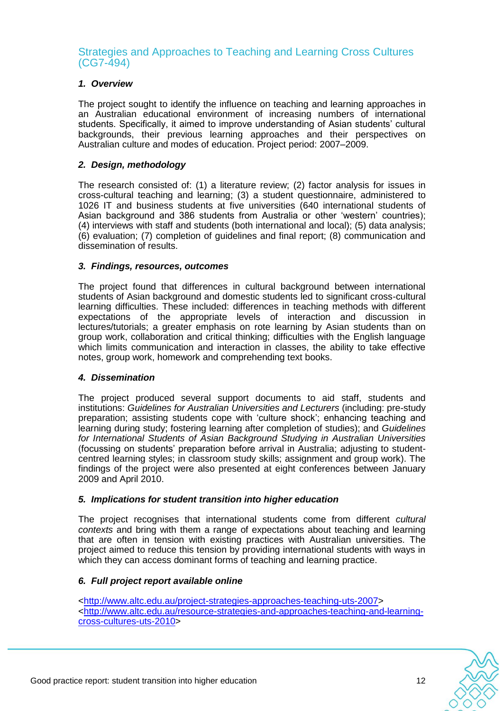### Strategies and Approaches to Teaching and Learning Cross Cultures (CG7-494)

### *1. Overview*

The project sought to identify the influence on teaching and learning approaches in an Australian educational environment of increasing numbers of international students. Specifically, it aimed to improve understanding of Asian students' cultural backgrounds, their previous learning approaches and their perspectives on Australian culture and modes of education. Project period: 2007–2009.

#### *2. Design, methodology*

The research consisted of: (1) a literature review; (2) factor analysis for issues in cross-cultural teaching and learning; (3) a student questionnaire, administered to 1026 IT and business students at five universities (640 international students of Asian background and 386 students from Australia or other 'western' countries); (4) interviews with staff and students (both international and local); (5) data analysis; (6) evaluation; (7) completion of guidelines and final report; (8) communication and dissemination of results.

#### *3. Findings, resources, outcomes*

The project found that differences in cultural background between international students of Asian background and domestic students led to significant cross-cultural learning difficulties. These included: differences in teaching methods with different expectations of the appropriate levels of interaction and discussion in lectures/tutorials; a greater emphasis on rote learning by Asian students than on group work, collaboration and critical thinking; difficulties with the English language which limits communication and interaction in classes, the ability to take effective notes, group work, homework and comprehending text books.

#### *4. Dissemination*

The project produced several support documents to aid staff, students and institutions: *Guidelines for Australian Universities and Lecturers* (including: pre-study preparation; assisting students cope with 'culture shock'; enhancing teaching and learning during study; fostering learning after completion of studies); and *Guidelines for International Students of Asian Background Studying in Australian Universities* (focussing on students' preparation before arrival in Australia; adjusting to studentcentred learning styles; in classroom study skills; assignment and group work). The findings of the project were also presented at eight conferences between January 2009 and April 2010.

#### *5. Implications for student transition into higher education*

The project recognises that international students come from different *cultural contexts* and bring with them a range of expectations about teaching and learning that are often in tension with existing practices with Australian universities. The project aimed to reduce this tension by providing international students with ways in which they can access dominant forms of teaching and learning practice.

#### *6. Full project report available online*

<span id="page-16-0"></span>[<http://www.altc.edu.au/project-strategies-approaches-teaching-uts-2007>](http://www.altc.edu.au/project-strategies-approaches-teaching-uts-2007) [<http://www.altc.edu.au/resource-strategies-and-approaches-teaching-and-learning](http://www.altc.edu.au/resource-strategies-and-approaches-teaching-and-learning-cross-cultures-uts-2010)[cross-cultures-uts-2010>](http://www.altc.edu.au/resource-strategies-and-approaches-teaching-and-learning-cross-cultures-uts-2010)

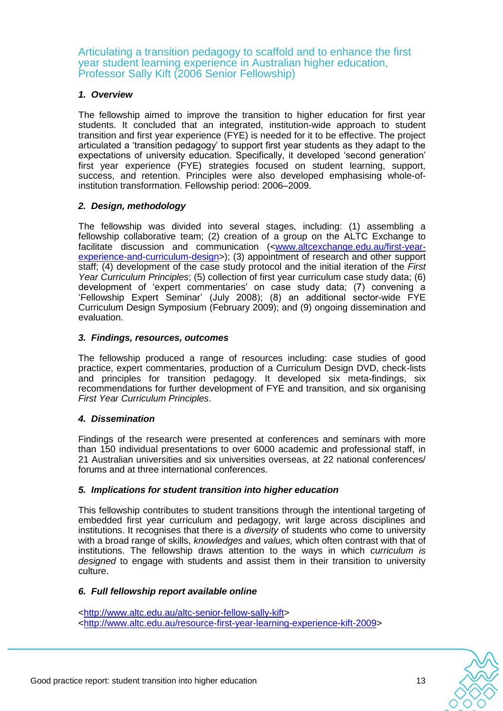Articulating a transition pedagogy to scaffold and to enhance the first year student learning experience in Australian higher education, Professor Sally Kift (2006 Senior Fellowship)

#### *1. Overview*

The fellowship aimed to improve the transition to higher education for first year students. It concluded that an integrated, institution-wide approach to student transition and first year experience (FYE) is needed for it to be effective. The project articulated a 'transition pedagogy' to support first year students as they adapt to the expectations of university education. Specifically, it developed 'second generation' first year experience (FYE) strategies focused on student learning, support, success, and retention. Principles were also developed emphasising whole-ofinstitution transformation. Fellowship period: 2006–2009.

#### *2. Design, methodology*

The fellowship was divided into several stages, including: (1) assembling a fellowship collaborative team; (2) creation of a group on the ALTC Exchange to facilitate discussion and communication ([<www.altcexchange.edu.au/first-year](http://www.altcexchange.edu.au/first-year-experience-and-curriculum-design)[experience-and-curriculum-design>](http://www.altcexchange.edu.au/first-year-experience-and-curriculum-design)); (3) appointment of research and other support staff; (4) development of the case study protocol and the initial iteration of the *First Year Curriculum Principles*; (5) collection of first year curriculum case study data; (6) development of 'expert commentaries' on case study data; (7) convening a ‗Fellowship Expert Seminar' (July 2008); (8) an additional sector-wide FYE Curriculum Design Symposium (February 2009); and (9) ongoing dissemination and evaluation.

#### *3. Findings, resources, outcomes*

The fellowship produced a range of resources including: case studies of good practice, expert commentaries, production of a Curriculum Design DVD, check-lists and principles for transition pedagogy. It developed six meta-findings, six recommendations for further development of FYE and transition, and six organising *First Year Curriculum Principles*.

#### *4. Dissemination*

Findings of the research were presented at conferences and seminars with more than 150 individual presentations to over 6000 academic and professional staff, in 21 Australian universities and six universities overseas, at 22 national conferences/ forums and at three international conferences.

#### *5. Implications for student transition into higher education*

This fellowship contributes to student transitions through the intentional targeting of embedded first year curriculum and pedagogy, writ large across disciplines and institutions. It recognises that there is a *diversity* of students who come to university with a broad range of skills, *knowledges* and *values,* which often contrast with that of institutions. The fellowship draws attention to the ways in which *curriculum is designed* to engage with students and assist them in their transition to university culture.

#### *6. Full fellowship report available online*

<span id="page-17-0"></span>[<http://www.altc.edu.au/altc-senior-fellow-sally-kift>](http://www.altc.edu.au/altc-senior-fellow-sally-kift) [<http://www.altc.edu.au/resource-first-year-learning-experience-kift-2009>](http://www.altc.edu.au/resource-first-year-learning-experience-kift-2009)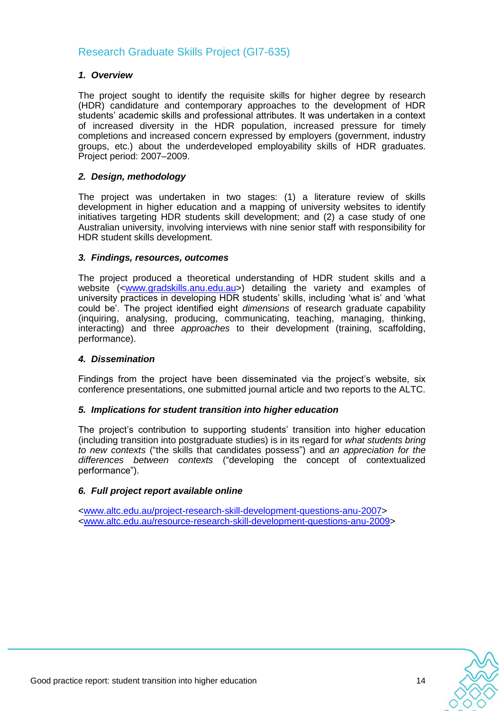# Research Graduate Skills Project (GI7-635)

#### *1. Overview*

The project sought to identify the requisite skills for higher degree by research (HDR) candidature and contemporary approaches to the development of HDR students' academic skills and professional attributes. It was undertaken in a context of increased diversity in the HDR population, increased pressure for timely completions and increased concern expressed by employers (government, industry groups, etc.) about the underdeveloped employability skills of HDR graduates. Project period: 2007–2009.

#### *2. Design, methodology*

The project was undertaken in two stages: (1) a literature review of skills development in higher education and a mapping of university websites to identify initiatives targeting HDR students skill development; and (2) a case study of one Australian university, involving interviews with nine senior staff with responsibility for HDR student skills development.

#### *3. Findings, resources, outcomes*

The project produced a theoretical understanding of HDR student skills and a website ([<www.gradskills.anu.edu.au>](http://www.gradskills.anu.edu.au/)) detailing the variety and examples of university practices in developing HDR students' skills, including 'what is' and 'what could be'. The project identified eight *dimensions* of research graduate capability (inquiring, analysing, producing, communicating, teaching, managing, thinking, interacting) and three *approaches* to their development (training, scaffolding, performance).

#### *4. Dissemination*

Findings from the project have been disseminated via the project's website, six conference presentations, one submitted journal article and two reports to the ALTC.

#### *5. Implications for student transition into higher education*

The project's contribution to supporting students' transition into higher education (including transition into postgraduate studies) is in its regard for *what students bring to new contexts* ("the skills that candidates possess") and *an appreciation for the* differences between contexts ("developing the concept of contextualized performance").

#### *6. Full project report available online*

<span id="page-18-0"></span>[<www.altc.edu.au/project-research-skill-development-questions-anu-2007>](http://www.altc.edu.au/project-research-skill-development-questions-anu-2007) [<www.altc.edu.au/resource-research-skill-development-questions-anu-2009>](http://www.altc.edu.au/resource-research-skill-development-questions-anu-2009)

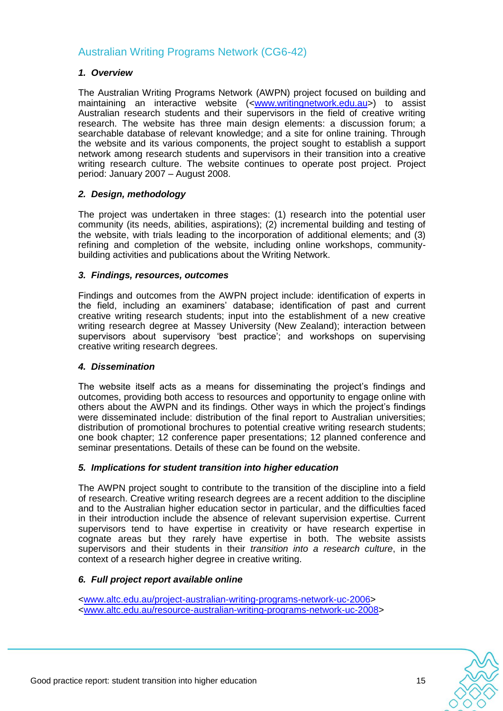# Australian Writing Programs Network (CG6-42)

#### *1. Overview*

The Australian Writing Programs Network (AWPN) project focused on building and maintaining an interactive website ([<www.writingnetwork.edu.au>](http://www.writingnetwork.edu.au/)) to assist Australian research students and their supervisors in the field of creative writing research. The website has three main design elements: a discussion forum; a searchable database of relevant knowledge; and a site for online training. Through the website and its various components, the project sought to establish a support network among research students and supervisors in their transition into a creative writing research culture. The website continues to operate post project. Project period: January 2007 – August 2008.

#### *2. Design, methodology*

The project was undertaken in three stages: (1) research into the potential user community (its needs, abilities, aspirations); (2) incremental building and testing of the website, with trials leading to the incorporation of additional elements; and (3) refining and completion of the website, including online workshops, communitybuilding activities and publications about the Writing Network.

#### *3. Findings, resources, outcomes*

Findings and outcomes from the AWPN project include: identification of experts in the field, including an examiners' database; identification of past and current creative writing research students; input into the establishment of a new creative writing research degree at Massey University (New Zealand); interaction between supervisors about supervisory 'best practice'; and workshops on supervising creative writing research degrees.

#### *4. Dissemination*

The website itself acts as a means for disseminating the project's findings and outcomes, providing both access to resources and opportunity to engage online with others about the AWPN and its findings. Other ways in which the project's findings were disseminated include: distribution of the final report to Australian universities; distribution of promotional brochures to potential creative writing research students; one book chapter; 12 conference paper presentations; 12 planned conference and seminar presentations. Details of these can be found on the website.

#### *5. Implications for student transition into higher education*

The AWPN project sought to contribute to the transition of the discipline into a field of research. Creative writing research degrees are a recent addition to the discipline and to the Australian higher education sector in particular, and the difficulties faced in their introduction include the absence of relevant supervision expertise. Current supervisors tend to have expertise in creativity or have research expertise in cognate areas but they rarely have expertise in both. The website assists supervisors and their students in their *transition into a research culture*, in the context of a research higher degree in creative writing.

#### *6. Full project report available online*

<span id="page-19-0"></span>[<www.altc.edu.au/project-australian-writing-programs-network-uc-2006>](http://www.altc.edu.au/project-australian-writing-programs-network-uc-2006) [<www.altc.edu.au/resource-australian-writing-programs-network-uc-2008>](http://www.altc.edu.au/resource-australian-writing-programs-network-uc-2008)

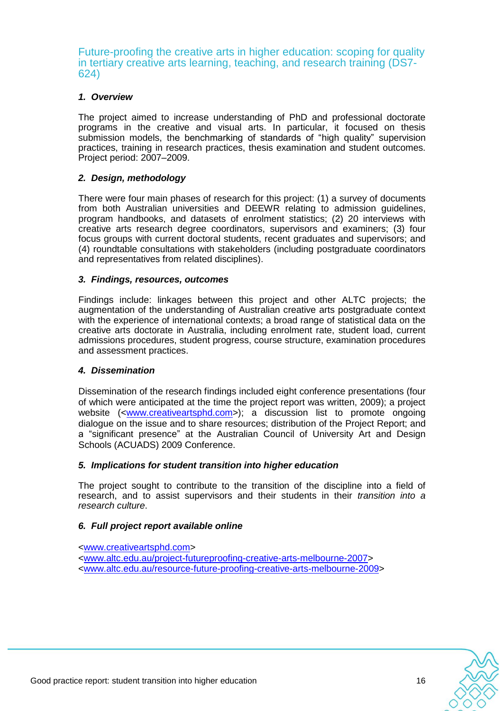Future-proofing the creative arts in higher education: scoping for quality in tertiary creative arts learning, teaching, and research training (DS7- 624)

#### *1. Overview*

The project aimed to increase understanding of PhD and professional doctorate programs in the creative and visual arts. In particular, it focused on thesis submission models, the benchmarking of standards of "high quality" supervision practices, training in research practices, thesis examination and student outcomes. Project period: 2007–2009.

#### *2. Design, methodology*

There were four main phases of research for this project: (1) a survey of documents from both Australian universities and DEEWR relating to admission guidelines, program handbooks, and datasets of enrolment statistics; (2) 20 interviews with creative arts research degree coordinators, supervisors and examiners; (3) four focus groups with current doctoral students, recent graduates and supervisors; and (4) roundtable consultations with stakeholders (including postgraduate coordinators and representatives from related disciplines).

#### *3. Findings, resources, outcomes*

Findings include: linkages between this project and other ALTC projects; the augmentation of the understanding of Australian creative arts postgraduate context with the experience of international contexts; a broad range of statistical data on the creative arts doctorate in Australia, including enrolment rate, student load, current admissions procedures, student progress, course structure, examination procedures and assessment practices.

#### *4. Dissemination*

Dissemination of the research findings included eight conference presentations (four of which were anticipated at the time the project report was written, 2009); a project website ([<www.creativeartsphd.com>](http://www.creativeartsphd.com/)); a discussion list to promote ongoing dialogue on the issue and to share resources; distribution of the Project Report; and a "significant presence" at the Australian Council of University Art and Design Schools (ACUADS) 2009 Conference.

#### *5. Implications for student transition into higher education*

The project sought to contribute to the transition of the discipline into a field of research, and to assist supervisors and their students in their *transition into a research culture*.

#### *6. Full project report available online*

<span id="page-20-0"></span>[<www.creativeartsphd.com>](http://www.creativeartsphd.com/) [<www.altc.edu.au/project-futureproofing-creative-arts-melbourne-2007>](http://www.altc.edu.au/project-futureproofing-creative-arts-melbourne-2007) [<www.altc.edu.au/resource-future-proofing-creative-arts-melbourne-2009>](http://www.altc.edu.au/resource-future-proofing-creative-arts-melbourne-2009)

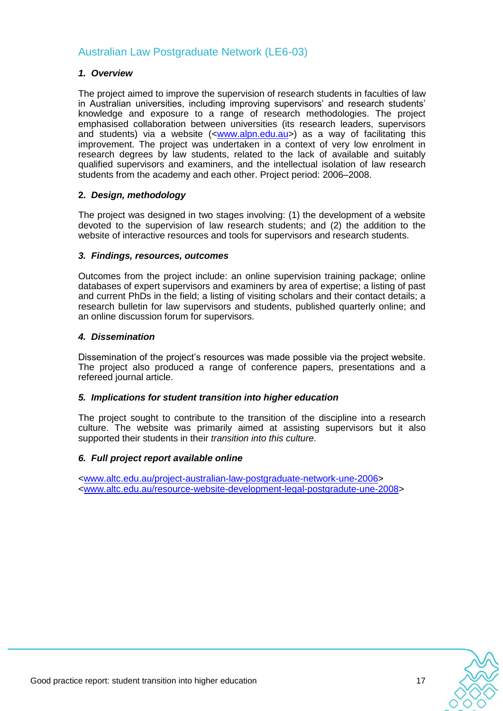# Australian Law Postgraduate Network (LE6-03)

#### *1. Overview*

The project aimed to improve the supervision of research students in faculties of law in Australian universities, including improving supervisors' and research students' knowledge and exposure to a range of research methodologies. The project emphasised collaboration between universities (its research leaders, supervisors and students) via a website ([<www.alpn.edu.au>](http://www.alpn.edu.au/)) as a way of facilitating this improvement. The project was undertaken in a context of very low enrolment in research degrees by law students, related to the lack of available and suitably qualified supervisors and examiners, and the intellectual isolation of law research students from the academy and each other. Project period: 2006–2008.

#### **2.** *Design, methodology*

The project was designed in two stages involving: (1) the development of a website devoted to the supervision of law research students; and (2) the addition to the website of interactive resources and tools for supervisors and research students.

#### *3. Findings, resources, outcomes*

Outcomes from the project include: an online supervision training package; online databases of expert supervisors and examiners by area of expertise; a listing of past and current PhDs in the field; a listing of visiting scholars and their contact details; a research bulletin for law supervisors and students, published quarterly online; and an online discussion forum for supervisors.

#### *4. Dissemination*

Dissemination of the project's resources was made possible via the project website. The project also produced a range of conference papers, presentations and a refereed journal article.

#### *5. Implications for student transition into higher education*

The project sought to contribute to the transition of the discipline into a research culture. The website was primarily aimed at assisting supervisors but it also supported their students in their *transition into this culture*.

#### *6. Full project report available online*

<span id="page-21-0"></span>[<www.altc.edu.au/project-australian-law-postgraduate-network-une-2006>](http://www.altc.edu.au/project-australian-law-postgraduate-network-une-2006) [<www.altc.edu.au/resource-website-development-legal-postgradute-une-2008>](http://www.altc.edu.au/resource-website-development-legal-postgradute-une-2008)

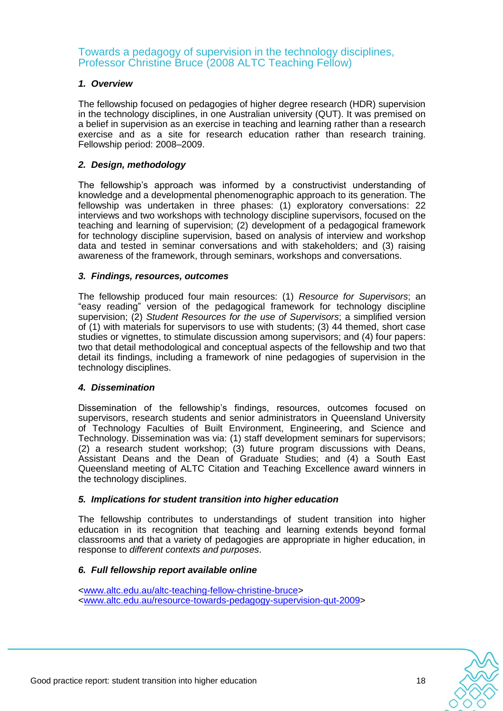Towards a pedagogy of supervision in the technology disciplines, Professor Christine Bruce (2008 ALTC Teaching Fellow)

### *1. Overview*

The fellowship focused on pedagogies of higher degree research (HDR) supervision in the technology disciplines, in one Australian university (QUT). It was premised on a belief in supervision as an exercise in teaching and learning rather than a research exercise and as a site for research education rather than research training. Fellowship period: 2008–2009.

#### *2. Design, methodology*

The fellowship's approach was informed by a constructivist understanding of knowledge and a developmental phenomenographic approach to its generation. The fellowship was undertaken in three phases: (1) exploratory conversations: 22 interviews and two workshops with technology discipline supervisors, focused on the teaching and learning of supervision; (2) development of a pedagogical framework for technology discipline supervision, based on analysis of interview and workshop data and tested in seminar conversations and with stakeholders; and (3) raising awareness of the framework, through seminars, workshops and conversations.

#### *3. Findings, resources, outcomes*

The fellowship produced four main resources: (1) *Resource for Supervisors*; an "easy reading" version of the pedagogical framework for technology discipline supervision; (2) *Student Resources for the use of Supervisors*; a simplified version of (1) with materials for supervisors to use with students; (3) 44 themed, short case studies or vignettes, to stimulate discussion among supervisors; and (4) four papers: two that detail methodological and conceptual aspects of the fellowship and two that detail its findings, including a framework of nine pedagogies of supervision in the technology disciplines.

#### *4. Dissemination*

Dissemination of the fellowship's findings, resources, outcomes focused on supervisors, research students and senior administrators in Queensland University of Technology Faculties of Built Environment, Engineering, and Science and Technology. Dissemination was via: (1) staff development seminars for supervisors; (2) a research student workshop; (3) future program discussions with Deans, Assistant Deans and the Dean of Graduate Studies; and (4) a South East Queensland meeting of ALTC Citation and Teaching Excellence award winners in the technology disciplines.

#### *5. Implications for student transition into higher education*

The fellowship contributes to understandings of student transition into higher education in its recognition that teaching and learning extends beyond formal classrooms and that a variety of pedagogies are appropriate in higher education, in response to *different contexts and purposes*.

#### *6. Full fellowship report available online*

<span id="page-22-0"></span>[<www.altc.edu.au/altc-teaching-fellow-christine-bruce>](http://www.altc.edu.au/altc-teaching-fellow-christine-bruce) [<www.altc.edu.au/resource-towards-pedagogy-supervision-qut-2009>](http://www.altc.edu.au/resource-towards-pedagogy-supervision-qut-2009)

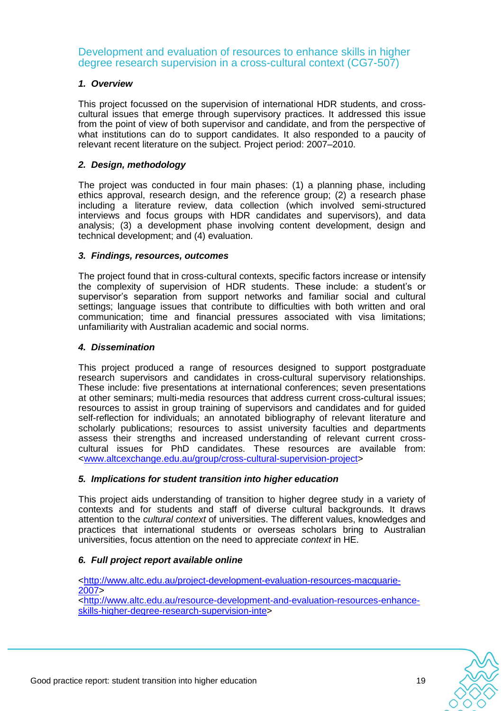Development and evaluation of resources to enhance skills in higher degree research supervision in a cross-cultural context (CG7-507)

#### *1. Overview*

This project focussed on the supervision of international HDR students, and crosscultural issues that emerge through supervisory practices. It addressed this issue from the point of view of both supervisor and candidate, and from the perspective of what institutions can do to support candidates. It also responded to a paucity of relevant recent literature on the subject. Project period: 2007–2010.

#### *2. Design, methodology*

The project was conducted in four main phases: (1) a planning phase, including ethics approval, research design, and the reference group; (2) a research phase including a literature review, data collection (which involved semi-structured interviews and focus groups with HDR candidates and supervisors), and data analysis; (3) a development phase involving content development, design and technical development; and (4) evaluation.

#### *3. Findings, resources, outcomes*

The project found that in cross-cultural contexts, specific factors increase or intensify the complexity of supervision of HDR students. These include: a student's or supervisor's separation from support networks and familiar social and cultural settings; language issues that contribute to difficulties with both written and oral communication; time and financial pressures associated with visa limitations; unfamiliarity with Australian academic and social norms.

#### *4. Dissemination*

This project produced a range of resources designed to support postgraduate research supervisors and candidates in cross-cultural supervisory relationships. These include: five presentations at international conferences; seven presentations at other seminars; multi-media resources that address current cross-cultural issues; resources to assist in group training of supervisors and candidates and for guided self-reflection for individuals; an annotated bibliography of relevant literature and scholarly publications; resources to assist university faculties and departments assess their strengths and increased understanding of relevant current crosscultural issues for PhD candidates. These resources are available from: [<www.altcexchange.edu.au/group/cross-cultural-supervision-project>](http://www.altcexchange.edu.au/group/cross-cultural-supervision-project)

#### *5. Implications for student transition into higher education*

This project aids understanding of transition to higher degree study in a variety of contexts and for students and staff of diverse cultural backgrounds. It draws attention to the *cultural context* of universities. The different values, knowledges and practices that international students or overseas scholars bring to Australian universities, focus attention on the need to appreciate *context* in HE.

#### *6. Full project report available online*

[<http://www.altc.edu.au/project-development-evaluation-resources-macquarie-](http://www.altc.edu.au/project-development-evaluation-resources-macquarie-2007)[2007>](http://www.altc.edu.au/project-development-evaluation-resources-macquarie-2007)

<span id="page-23-0"></span>[<http://www.altc.edu.au/resource-development-and-evaluation-resources-enhance](http://www.altc.edu.au/resource-development-and-evaluation-resources-enhance-skills-higher-degree-research-supervision-inte)[skills-higher-degree-research-supervision-inte>](http://www.altc.edu.au/resource-development-and-evaluation-resources-enhance-skills-higher-degree-research-supervision-inte)

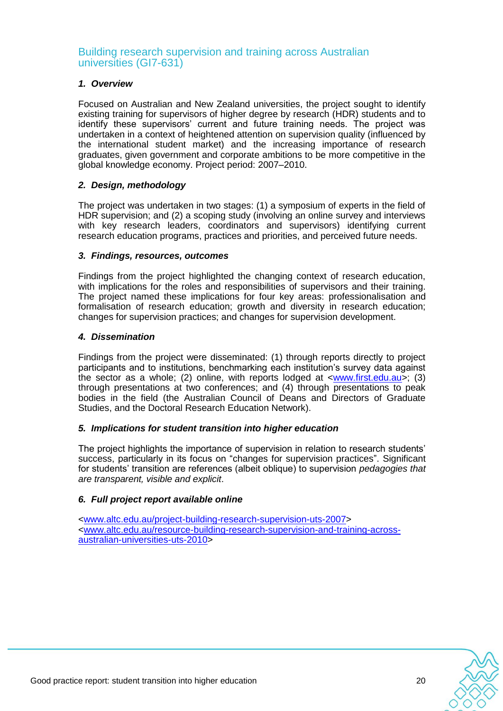### Building research supervision and training across Australian universities (GI7-631)

#### *1. Overview*

Focused on Australian and New Zealand universities, the project sought to identify existing training for supervisors of higher degree by research (HDR) students and to identify these supervisors' current and future training needs. The project was undertaken in a context of heightened attention on supervision quality (influenced by the international student market) and the increasing importance of research graduates, given government and corporate ambitions to be more competitive in the global knowledge economy. Project period: 2007–2010.

#### *2. Design, methodology*

The project was undertaken in two stages: (1) a symposium of experts in the field of HDR supervision; and (2) a scoping study (involving an online survey and interviews with key research leaders, coordinators and supervisors) identifying current research education programs, practices and priorities, and perceived future needs.

#### *3. Findings, resources, outcomes*

Findings from the project highlighted the changing context of research education, with implications for the roles and responsibilities of supervisors and their training. The project named these implications for four key areas: professionalisation and formalisation of research education; growth and diversity in research education; changes for supervision practices; and changes for supervision development.

#### *4. Dissemination*

Findings from the project were disseminated: (1) through reports directly to project participants and to institutions, benchmarking each institution's survey data against the sector as a whole; (2) online, with reports lodged at  $\leq$ www.first.edu.au >; (3) through presentations at two conferences; and (4) through presentations to peak bodies in the field (the Australian Council of Deans and Directors of Graduate Studies, and the Doctoral Research Education Network).

#### *5. Implications for student transition into higher education*

The project highlights the importance of supervision in relation to research students' success, particularly in its focus on "changes for supervision practices". Significant for students' transition are references (albeit oblique) to supervision *pedagogies that are transparent, visible and explicit*.

#### *6. Full project report available online*

<span id="page-24-0"></span>[<www.altc.edu.au/project-building-research-supervision-uts-2007>](http://www.altc.edu.au/project-building-research-supervision-uts-2007) [<www.altc.edu.au/resource-building-research-supervision-and-training-across](http://www.altc.edu.au/resource-building-research-supervision-and-training-across-australian-universities-uts-2010)[australian-universities-uts-2010>](http://www.altc.edu.au/resource-building-research-supervision-and-training-across-australian-universities-uts-2010)

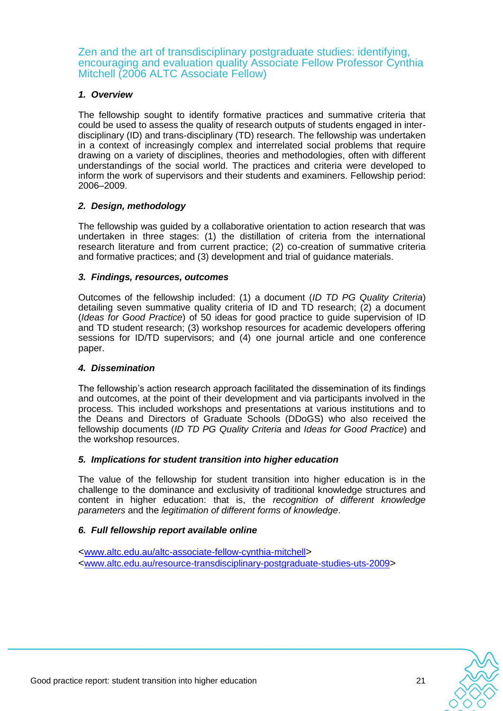Zen and the art of transdisciplinary postgraduate studies: identifying, encouraging and evaluation quality Associate Fellow Professor Cynthia Mitchell (2006 ALTC Associate Fellow)

#### *1. Overview*

The fellowship sought to identify formative practices and summative criteria that could be used to assess the quality of research outputs of students engaged in interdisciplinary (ID) and trans-disciplinary (TD) research. The fellowship was undertaken in a context of increasingly complex and interrelated social problems that require drawing on a variety of disciplines, theories and methodologies, often with different understandings of the social world. The practices and criteria were developed to inform the work of supervisors and their students and examiners. Fellowship period: 2006–2009.

### *2. Design, methodology*

The fellowship was guided by a collaborative orientation to action research that was undertaken in three stages: (1) the distillation of criteria from the international research literature and from current practice; (2) co-creation of summative criteria and formative practices; and (3) development and trial of guidance materials.

### *3. Findings, resources, outcomes*

Outcomes of the fellowship included: (1) a document (*ID TD PG Quality Criteria*) detailing seven summative quality criteria of ID and TD research; (2) a document (*Ideas for Good Practice*) of 50 ideas for good practice to guide supervision of ID and TD student research; (3) workshop resources for academic developers offering sessions for ID/TD supervisors; and (4) one journal article and one conference paper.

#### *4. Dissemination*

The fellowship's action research approach facilitated the dissemination of its findings and outcomes, at the point of their development and via participants involved in the process. This included workshops and presentations at various institutions and to the Deans and Directors of Graduate Schools (DDoGS) who also received the fellowship documents (*ID TD PG Quality Criteria* and *Ideas for Good Practice*) and the workshop resources.

#### *5. Implications for student transition into higher education*

The value of the fellowship for student transition into higher education is in the challenge to the dominance and exclusivity of traditional knowledge structures and content in higher education: that is, the *recognition of different knowledge parameters* and the *legitimation of different forms of knowledge*.

#### *6. Full fellowship report available online*

<span id="page-25-0"></span><[www.altc.edu.au/altc-associate-fellow-cynthia-mitchell](http://www.altc.edu.au/altc-associate-fellow-cynthia-mitchell)> <[www.altc.edu.au/resource-transdisciplinary-postgraduate-studies-uts-2009](http://www.altc.edu.au/resource-transdisciplinary-postgraduate-studies-uts-2009)>

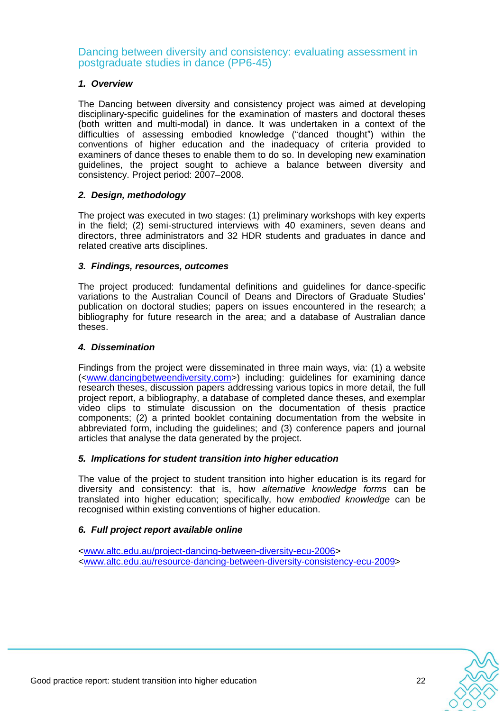Dancing between diversity and consistency: evaluating assessment in postgraduate studies in dance (PP6-45)

#### *1. Overview*

The Dancing between diversity and consistency project was aimed at developing disciplinary-specific guidelines for the examination of masters and doctoral theses (both written and multi-modal) in dance. It was undertaken in a context of the difficulties of assessing embodied knowledge ("danced thought") within the conventions of higher education and the inadequacy of criteria provided to examiners of dance theses to enable them to do so. In developing new examination guidelines, the project sought to achieve a balance between diversity and consistency. Project period: 2007–2008.

#### *2. Design, methodology*

The project was executed in two stages: (1) preliminary workshops with key experts in the field; (2) semi-structured interviews with 40 examiners, seven deans and directors, three administrators and 32 HDR students and graduates in dance and related creative arts disciplines.

#### *3. Findings, resources, outcomes*

The project produced: fundamental definitions and guidelines for dance-specific variations to the Australian Council of Deans and Directors of Graduate Studies' publication on doctoral studies; papers on issues encountered in the research; a bibliography for future research in the area; and a database of Australian dance theses.

#### *4. Dissemination*

Findings from the project were disseminated in three main ways, via: (1) a website ([<www.dancingbetweendiversity.com>](http://www.dancingbetweendiversity.com/)) including: guidelines for examining dance research theses, discussion papers addressing various topics in more detail, the full project report, a bibliography, a database of completed dance theses, and exemplar video clips to stimulate discussion on the documentation of thesis practice components; (2) a printed booklet containing documentation from the website in abbreviated form, including the guidelines; and (3) conference papers and journal articles that analyse the data generated by the project.

#### *5. Implications for student transition into higher education*

The value of the project to student transition into higher education is its regard for diversity and consistency: that is, how *alternative knowledge forms* can be translated into higher education; specifically, how *embodied knowledge* can be recognised within existing conventions of higher education.

#### *6. Full project report available online*

[<www.altc.edu.au/project-dancing-between-diversity-ecu-2006>](http://www.altc.edu.au/project-dancing-between-diversity-ecu-2006) [<www.altc.edu.au/resource-dancing-between-diversity-consistency-ecu-2009>](http://www.altc.edu.au/resource-dancing-between-diversity-consistency-ecu-2009)

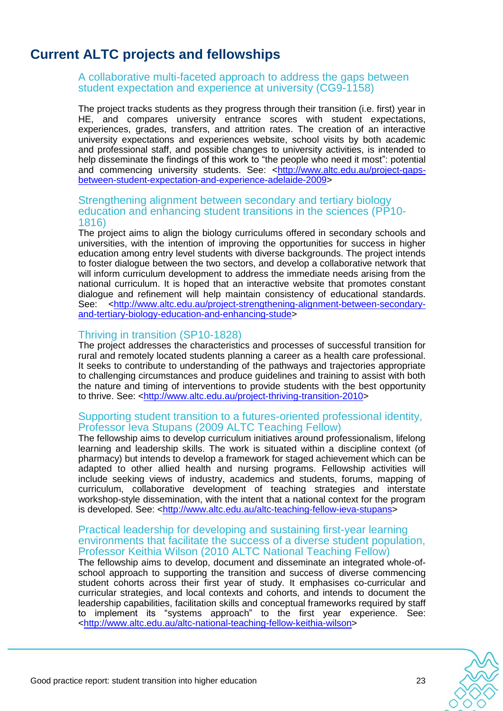# <span id="page-27-0"></span>**Current ALTC projects and fellowships**

A collaborative multi-faceted approach to address the gaps between student expectation and experience at university (CG9-1158)

The project tracks students as they progress through their transition (i.e. first) year in HE, and compares university entrance scores with student expectations, experiences, grades, transfers, and attrition rates. The creation of an interactive university expectations and experiences website, school visits by both academic and professional staff, and possible changes to university activities, is intended to help disseminate the findings of this work to "the people who need it most": potential and commencing university students. See: [<http://www.altc.edu.au/project-gaps](http://www.altc.edu.au/project-gaps-between-student-expectation-and-experience-adelaide-2009)[between-student-expectation-and-experience-adelaide-2009>](http://www.altc.edu.au/project-gaps-between-student-expectation-and-experience-adelaide-2009)

#### <span id="page-27-1"></span>Strengthening alignment between secondary and tertiary biology education and enhancing student transitions in the sciences (PP10- 1816)

The project aims to align the biology curriculums offered in secondary schools and universities, with the intention of improving the opportunities for success in higher education among entry level students with diverse backgrounds. The project intends to foster dialogue between the two sectors, and develop a collaborative network that will inform curriculum development to address the immediate needs arising from the national curriculum. It is hoped that an interactive website that promotes constant dialogue and refinement will help maintain consistency of educational standards. See: [<http://www.altc.edu.au/project-strengthening-alignment-between-secondary](http://www.altc.edu.au/project-strengthening-alignment-between-secondary-and-tertiary-biology-education-and-enhancing-stude)[and-tertiary-biology-education-and-enhancing-stude>](http://www.altc.edu.au/project-strengthening-alignment-between-secondary-and-tertiary-biology-education-and-enhancing-stude)

#### <span id="page-27-2"></span>Thriving in transition (SP10-1828)

The project addresses the characteristics and processes of successful transition for rural and remotely located students planning a career as a health care professional. It seeks to contribute to understanding of the pathways and trajectories appropriate to challenging circumstances and produce guidelines and training to assist with both the nature and timing of interventions to provide students with the best opportunity to thrive. See: [<http://www.altc.edu.au/project-thriving-transition-2010>](http://www.altc.edu.au/project-thriving-transition-2010)

### <span id="page-27-3"></span>Supporting student transition to a futures-oriented professional identity, Professor Ieva Stupans (2009 ALTC Teaching Fellow)

The fellowship aims to develop curriculum initiatives around professionalism, lifelong learning and leadership skills. The work is situated within a discipline context (of pharmacy) but intends to develop a framework for staged achievement which can be adapted to other allied health and nursing programs. Fellowship activities will include seeking views of industry, academics and students, forums, mapping of curriculum, collaborative development of teaching strategies and interstate workshop-style dissemination, with the intent that a national context for the program is developed. See: [<http://www.altc.edu.au/altc-teaching-fellow-ieva-stupans>](http://www.altc.edu.au/altc-teaching-fellow-ieva-stupans)

#### <span id="page-27-4"></span>Practical leadership for developing and sustaining first-year learning environments that facilitate the success of a diverse student population, Professor Keithia Wilson (2010 ALTC National Teaching Fellow)

The fellowship aims to develop, document and disseminate an integrated whole-ofschool approach to supporting the transition and success of diverse commencing student cohorts across their first year of study. It emphasises co-curricular and curricular strategies, and local contexts and cohorts, and intends to document the leadership capabilities, facilitation skills and conceptual frameworks required by staff to implement its "systems approach" to the first year experience. See: [<http://www.altc.edu.au/altc-national-teaching-fellow-keithia-wilson>](http://www.altc.edu.au/altc-national-teaching-fellow-keithia-wilson)

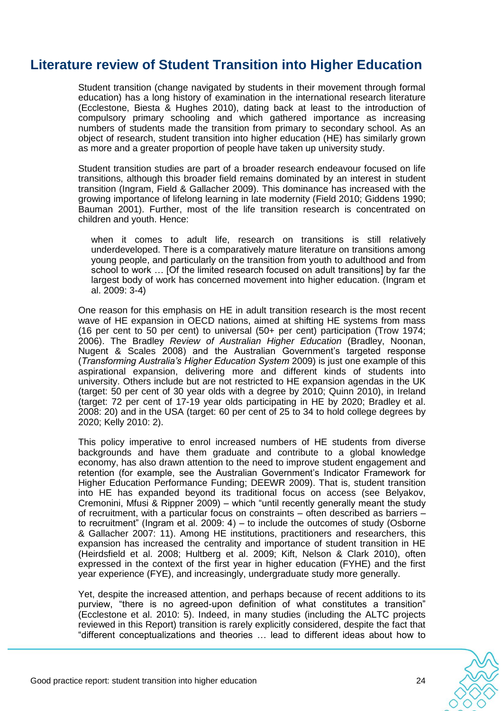# **Literature review of Student Transition into Higher Education**

Student transition (change navigated by students in their movement through formal education) has a long history of examination in the international research literature (Ecclestone, Biesta & Hughes 2010), dating back at least to the introduction of compulsory primary schooling and which gathered importance as increasing numbers of students made the transition from primary to secondary school. As an object of research, student transition into higher education (HE) has similarly grown as more and a greater proportion of people have taken up university study.

Student transition studies are part of a broader research endeavour focused on life transitions, although this broader field remains dominated by an interest in student transition (Ingram, Field & Gallacher 2009). This dominance has increased with the growing importance of lifelong learning in late modernity (Field 2010; Giddens 1990; Bauman 2001). Further, most of the life transition research is concentrated on children and youth. Hence:

when it comes to adult life, research on transitions is still relatively underdeveloped. There is a comparatively mature literature on transitions among young people, and particularly on the transition from youth to adulthood and from school to work … [Of the limited research focused on adult transitions] by far the largest body of work has concerned movement into higher education. (Ingram et al. 2009: 3-4)

One reason for this emphasis on HE in adult transition research is the most recent wave of HE expansion in OECD nations, aimed at shifting HE systems from mass (16 per cent to 50 per cent) to universal (50+ per cent) participation (Trow 1974; 2006). The Bradley *Review of Australian Higher Education* (Bradley, Noonan, Nugent & Scales 2008) and the Australian Government's targeted response (*Transforming Australia"s Higher Education System* 2009) is just one example of this aspirational expansion, delivering more and different kinds of students into university. Others include but are not restricted to HE expansion agendas in the UK (target: 50 per cent of 30 year olds with a degree by 2010; Quinn 2010), in Ireland (target: 72 per cent of 17-19 year olds participating in HE by 2020; Bradley et al. 2008: 20) and in the USA (target: 60 per cent of 25 to 34 to hold college degrees by 2020; Kelly 2010: 2).

This policy imperative to enrol increased numbers of HE students from diverse backgrounds and have them graduate and contribute to a global knowledge economy, has also drawn attention to the need to improve student engagement and retention (for example, see the Australian Government's Indicator Framework for Higher Education Performance Funding; DEEWR 2009). That is, student transition into HE has expanded beyond its traditional focus on access (see Belyakov, Cremonini, Mfusi & Rippner 2009) – which "until recently generally meant the study of recruitment, with a particular focus on constraints – often described as barriers – to recruitment" (Ingram et al. 2009:  $4$ ) – to include the outcomes of study (Osborne & Gallacher 2007: 11). Among HE institutions, practitioners and researchers, this expansion has increased the centrality and importance of student transition in HE (Heirdsfield et al. 2008; Hultberg et al. 2009; Kift, Nelson & Clark 2010), often expressed in the context of the first year in higher education (FYHE) and the first year experience (FYE), and increasingly, undergraduate study more generally.

Yet, despite the increased attention, and perhaps because of recent additions to its purview, "there is no agreed-upon definition of what constitutes a transition" (Ecclestone et al. 2010: 5). Indeed, in many studies (including the ALTC projects reviewed in this Report) transition is rarely explicitly considered, despite the fact that ―different conceptualizations and theories … lead to different ideas about how to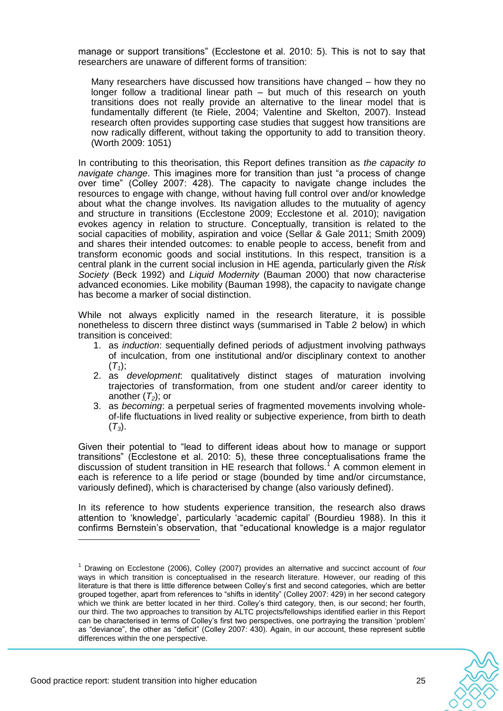manage or support transitions" (Ecclestone et al. 2010: 5). This is not to say that researchers are unaware of different forms of transition:

Many researchers have discussed how transitions have changed – how they no longer follow a traditional linear path – but much of this research on youth transitions does not really provide an alternative to the linear model that is fundamentally different (te Riele, 2004; Valentine and Skelton, 2007). Instead research often provides supporting case studies that suggest how transitions are now radically different, without taking the opportunity to add to transition theory. (Worth 2009: 1051)

In contributing to this theorisation, this Report defines transition as *the capacity to navigate change*. This imagines more for transition than just "a process of change over time" (Colley 2007: 428). The capacity to navigate change includes the resources to engage with change, without having full control over and/or knowledge about what the change involves. Its navigation alludes to the mutuality of agency and structure in transitions (Ecclestone 2009; Ecclestone et al. 2010); navigation evokes agency in relation to structure. Conceptually, transition is related to the social capacities of mobility, aspiration and voice (Sellar & Gale 2011; Smith 2009) and shares their intended outcomes: to enable people to access, benefit from and transform economic goods and social institutions. In this respect, transition is a central plank in the current social inclusion in HE agenda, particularly given the *Risk Society* (Beck 1992) and *Liquid Modernity* (Bauman 2000) that now characterise advanced economies. Like mobility (Bauman 1998), the capacity to navigate change has become a marker of social distinction.

While not always explicitly named in the research literature, it is possible nonetheless to discern three distinct ways (summarised in Table 2 below) in which transition is conceived:

- 1. as *induction*: sequentially defined periods of adjustment involving pathways of inculcation, from one institutional and/or disciplinary context to another  $(T_1)$ ;
- 2. as *development*: qualitatively distinct stages of maturation involving trajectories of transformation, from one student and/or career identity to another (*T2*); or
- 3. as *becoming*: a perpetual series of fragmented movements involving wholeof-life fluctuations in lived reality or subjective experience, from birth to death  $(T_3)$ .

Given their potential to "lead to different ideas about how to manage or support transitions‖ (Ecclestone et al. 2010: 5), these three conceptualisations frame the discussion of student transition in HE research that follows.<sup>1</sup> A common element in each is reference to a life period or stage (bounded by time and/or circumstance, variously defined), which is characterised by change (also variously defined).

In its reference to how students experience transition, the research also draws attention to 'knowledge', particularly 'academic capital' (Bourdieu 1988). In this it confirms Bernstein's observation, that "educational knowledge is a major regulator

<sup>1</sup> Drawing on Ecclestone (2006), Colley (2007) provides an alternative and succinct account of *four* ways in which transition is conceptualised in the research literature. However, our reading of this literature is that there is little difference between Colley's first and second categories, which are better grouped together, apart from references to "shifts in identity" (Colley 2007: 429) in her second category which we think are better located in her third. Colley's third category, then, is our second; her fourth, our third. The two approaches to transition by ALTC projects/fellowships identified earlier in this Report can be characterised in terms of Colley's first two perspectives, one portraying the transition 'problem' as "deviance", the other as "deficit" (Colley 2007: 430). Again, in our account, these represent subtle differences within the one perspective.

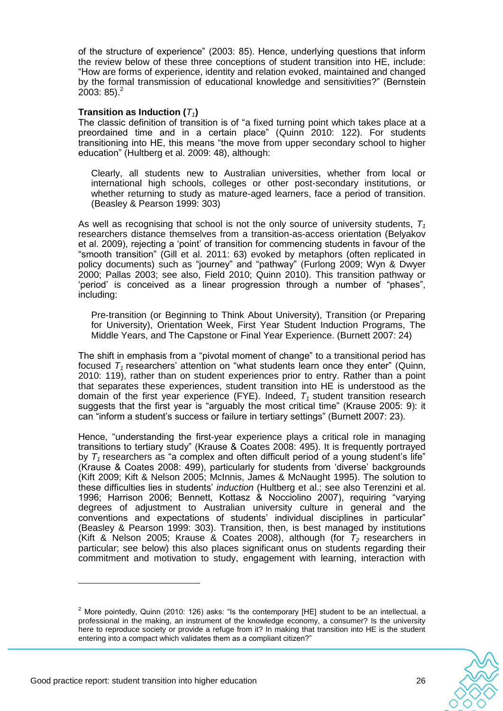of the structure of experience‖ (2003: 85). Hence, underlying questions that inform the review below of these three conceptions of student transition into HE, include: ―How are forms of experience, identity and relation evoked, maintained and changed by the formal transmission of educational knowledge and sensitivities?" (Bernstein  $2003:85$ <sup>2</sup>

#### **Transition as Induction (***T1***)**

The classic definition of transition is of "a fixed turning point which takes place at a preordained time and in a certain place" (Quinn 2010: 122). For students transitioning into HE, this means "the move from upper secondary school to higher education" (Hultberg et al. 2009: 48), although:

Clearly, all students new to Australian universities, whether from local or international high schools, colleges or other post-secondary institutions, or whether returning to study as mature-aged learners, face a period of transition. (Beasley & Pearson 1999: 303)

As well as recognising that school is not the only source of university students, *T<sup>1</sup>* researchers distance themselves from a transition-as-access orientation (Belyakov et al. 2009), rejecting a 'point' of transition for commencing students in favour of the ―smooth transition‖ (Gill et al. 2011: 63) evoked by metaphors (often replicated in policy documents) such as "journey" and "pathway" (Furlong 2009; Wyn & Dwyer 2000; Pallas 2003; see also, Field 2010; Quinn 2010). This transition pathway or ‗period' is conceived as a linear progression through a number of ―phases‖, including:

Pre-transition (or Beginning to Think About University), Transition (or Preparing for University), Orientation Week, First Year Student Induction Programs, The Middle Years, and The Capstone or Final Year Experience. (Burnett 2007: 24)

The shift in emphasis from a "pivotal moment of change" to a transitional period has focused  $T<sub>1</sub>$  researchers' attention on "what students learn once they enter" (Quinn, 2010: 119), rather than on student experiences prior to entry. Rather than a point that separates these experiences, student transition into HE is understood as the domain of the first year experience (FYE). Indeed, *T1* student transition research suggests that the first year is "arguably the most critical time" (Krause 2005: 9): it can "inform a student's success or failure in tertiary settings" (Burnett 2007: 23).

Hence, "understanding the first-year experience plays a critical role in managing transitions to tertiary study" (Krause & Coates 2008: 495). It is frequently portrayed by  $T<sub>1</sub>$  researchers as "a complex and often difficult period of a young student's life" (Krause & Coates 2008: 499), particularly for students from ‗diverse' backgrounds (Kift 2009; Kift & Nelson 2005; McInnis, James & McNaught 1995). The solution to these difficulties lies in students' *induction* (Hultberg et al.; see also Terenzini et al. 1996; Harrison 2006; Bennett, Kottasz & Nocciolino 2007), requiring "varying degrees of adjustment to Australian university culture in general and the conventions and expectations of students' individual disciplines in particular" (Beasley & Pearson 1999: 303). Transition, then, is best managed by institutions (Kift & Nelson 2005; Krause & Coates 2008), although (for *T2* researchers in particular; see below) this also places significant onus on students regarding their commitment and motivation to study, engagement with learning, interaction with

<sup>&</sup>lt;sup>2</sup> More pointedly, Quinn (2010: 126) asks: "Is the contemporary [HE] student to be an intellectual, a professional in the making, an instrument of the knowledge economy, a consumer? Is the university here to reproduce society or provide a refuge from it? In making that transition into HE is the student entering into a compact which validates them as a compliant citizen?"

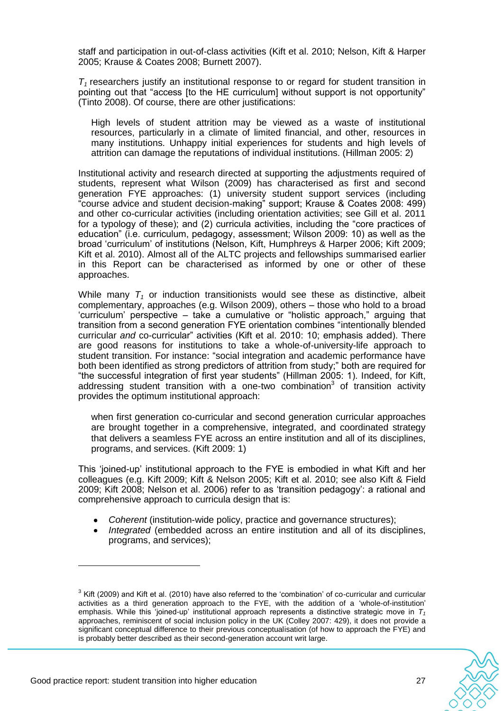staff and participation in out-of-class activities (Kift et al. 2010; Nelson, Kift & Harper 2005; Krause & Coates 2008; Burnett 2007).

*T1* researchers justify an institutional response to or regard for student transition in pointing out that "access [to the HE curriculum] without support is not opportunity" (Tinto 2008). Of course, there are other justifications:

High levels of student attrition may be viewed as a waste of institutional resources, particularly in a climate of limited financial, and other, resources in many institutions. Unhappy initial experiences for students and high levels of attrition can damage the reputations of individual institutions. (Hillman 2005: 2)

Institutional activity and research directed at supporting the adjustments required of students, represent what Wilson (2009) has characterised as first and second generation FYE approaches: (1) university student support services (including ―course advice and student decision-making‖ support; Krause & Coates 2008: 499) and other co-curricular activities (including orientation activities; see Gill et al. 2011 for a typology of these); and (2) curricula activities, including the "core practices of education‖ (i.e. curriculum, pedagogy, assessment; Wilson 2009: 10) as well as the broad 'curriculum' of institutions (Nelson, Kift, Humphreys & Harper 2006; Kift 2009; Kift et al. 2010). Almost all of the ALTC projects and fellowships summarised earlier in this Report can be characterised as informed by one or other of these approaches.

While many  $T_1$  or induction transitionists would see these as distinctive, albeit complementary, approaches (e.g. Wilson 2009), others – those who hold to a broad  $'$ curriculum' perspective – take a cumulative or  $"$ holistic approach," arguing that transition from a second generation FYE orientation combines "intentionally blended curricular *and* co-curricular" activities (Kift et al. 2010: 10; emphasis added). There are good reasons for institutions to take a whole-of-university-life approach to student transition. For instance: "social integration and academic performance have both been identified as strong predictors of attrition from study;" both are required for ―the successful integration of first year students‖ (Hillman 2005: 1). Indeed, for Kift, addressing student transition with a one-two combination<sup>3</sup> of transition activity provides the optimum institutional approach:

when first generation co-curricular and second generation curricular approaches are brought together in a comprehensive, integrated, and coordinated strategy that delivers a seamless FYE across an entire institution and all of its disciplines, programs, and services. (Kift 2009: 1)

This ‗joined-up' institutional approach to the FYE is embodied in what Kift and her colleagues (e.g. Kift 2009; Kift & Nelson 2005; Kift et al. 2010; see also Kift & Field 2009; Kift 2008; Nelson et al. 2006) refer to as 'transition pedagogy': a rational and comprehensive approach to curricula design that is:

- *Coherent* (institution-wide policy, practice and governance structures);
- *Integrated* (embedded across an entire institution and all of its disciplines, programs, and services);

 $3$  Kift (2009) and Kift et al. (2010) have also referred to the 'combination' of co-curricular and curricular activities as a third generation approach to the FYE, with the addition of a 'whole-of-institution' emphasis. While this 'joined-up' institutional approach represents a distinctive strategic move in  $T<sub>1</sub>$ approaches, reminiscent of social inclusion policy in the UK (Colley 2007: 429), it does not provide a significant conceptual difference to their previous conceptualisation (of how to approach the FYE) and is probably better described as their second-generation account writ large.

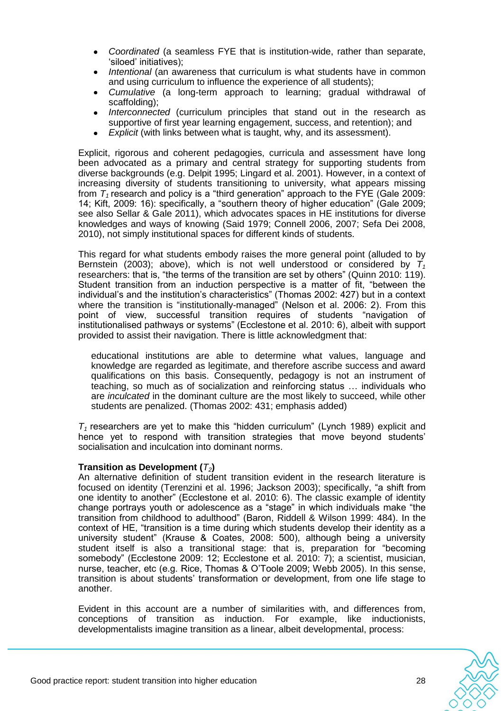- *Coordinated* (a seamless FYE that is institution-wide, rather than separate, ‗siloed' initiatives);
- *Intentional* (an awareness that curriculum is what students have in common and using curriculum to influence the experience of all students);
- *Cumulative* (a long-term approach to learning; gradual withdrawal of scaffolding);
- *Interconnected* (curriculum principles that stand out in the research as supportive of first year learning engagement, success, and retention); and
- *Explicit* (with links between what is taught, why, and its assessment).

Explicit, rigorous and coherent pedagogies, curricula and assessment have long been advocated as a primary and central strategy for supporting students from diverse backgrounds (e.g. Delpit 1995; Lingard et al. 2001). However, in a context of increasing diversity of students transitioning to university, what appears missing from  $T<sub>1</sub>$  research and policy is a "third generation" approach to the FYE (Gale 2009: 14; Kift, 2009: 16): specifically, a "southern theory of higher education" (Gale 2009; see also Sellar & Gale 2011), which advocates spaces in HE institutions for diverse knowledges and ways of knowing (Said 1979; Connell 2006, 2007; Sefa Dei 2008, 2010), not simply institutional spaces for different kinds of students.

This regard for what students embody raises the more general point (alluded to by Bernstein (2003); above), which is not well understood or considered by  $T_1$ researchers: that is, "the terms of the transition are set by others" (Quinn 2010: 119). Student transition from an induction perspective is a matter of fit, "between the individual's and the institution's characteristics" (Thomas 2002: 427) but in a context where the transition is "institutionally-managed" (Nelson et al. 2006: 2). From this point of view, successful transition requires of students "navigation of institutionalised pathways or systems" (Ecclestone et al. 2010: 6), albeit with support provided to assist their navigation. There is little acknowledgment that:

educational institutions are able to determine what values, language and knowledge are regarded as legitimate, and therefore ascribe success and award qualifications on this basis. Consequently, pedagogy is not an instrument of teaching, so much as of socialization and reinforcing status … individuals who are *inculcated* in the dominant culture are the most likely to succeed, while other students are penalized. (Thomas 2002: 431; emphasis added)

 $T<sub>1</sub>$  researchers are yet to make this "hidden curriculum" (Lynch 1989) explicit and hence yet to respond with transition strategies that move beyond students' socialisation and inculcation into dominant norms.

#### **Transition as Development (***T2***)**

An alternative definition of student transition evident in the research literature is focused on identity (Terenzini et al. 1996; Jackson 2003); specifically, "a shift from one identity to another" (Ecclestone et al. 2010: 6). The classic example of identity change portrays youth or adolescence as a "stage" in which individuals make "the transition from childhood to adulthood‖ (Baron, Riddell & Wilson 1999: 484). In the context of HE, "transition is a time during which students develop their identity as a university student" (Krause & Coates, 2008: 500), although being a university student itself is also a transitional stage: that is, preparation for "becoming somebody" (Ecclestone 2009: 12; Ecclestone et al. 2010: 7); a scientist, musician, nurse, teacher, etc (e.g. Rice, Thomas & O'Toole 2009; Webb 2005). In this sense, transition is about students' transformation or development, from one life stage to another.

Evident in this account are a number of similarities with, and differences from, conceptions of transition as induction. For example, like inductionists, developmentalists imagine transition as a linear, albeit developmental, process: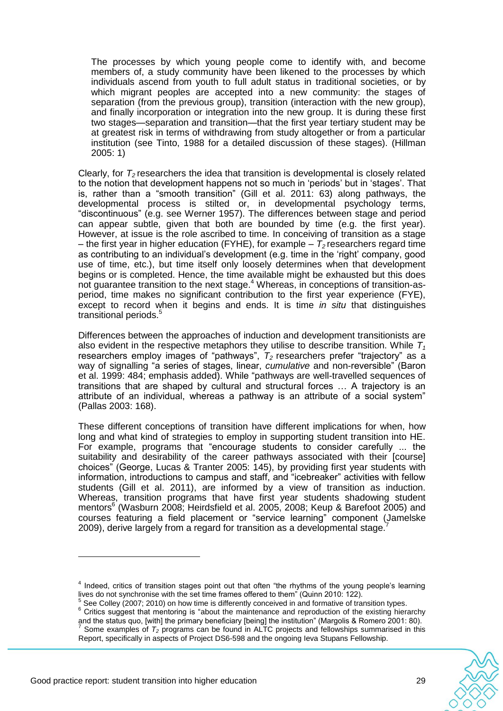The processes by which young people come to identify with, and become members of, a study community have been likened to the processes by which individuals ascend from youth to full adult status in traditional societies, or by which migrant peoples are accepted into a new community: the stages of separation (from the previous group), transition (interaction with the new group), and finally incorporation or integration into the new group. It is during these first two stages—separation and transition—that the first year tertiary student may be at greatest risk in terms of withdrawing from study altogether or from a particular institution (see Tinto, 1988 for a detailed discussion of these stages). (Hillman 2005: 1)

Clearly, for *T2* researchers the idea that transition is developmental is closely related to the notion that development happens not so much in 'periods' but in 'stages'. That is, rather than a "smooth transition" (Gill et al. 2011: 63) along pathways, the developmental process is stilted or, in developmental psychology terms, "discontinuous" (e.g. see Werner 1957). The differences between stage and period can appear subtle, given that both are bounded by time (e.g. the first year). However, at issue is the role ascribed to time. In conceiving of transition as a stage – the first year in higher education (FYHE), for example –  $T_2$  researchers regard time as contributing to an individual's development (e.g. time in the 'right' company, good use of time, etc.), but time itself only loosely determines when that development begins or is completed. Hence, the time available might be exhausted but this does not guarantee transition to the next stage.<sup>4</sup> Whereas, in conceptions of transition-asperiod, time makes no significant contribution to the first year experience (FYE), except to record when it begins and ends. It is time *in situ* that distinguishes transitional periods.<sup>5</sup>

Differences between the approaches of induction and development transitionists are also evident in the respective metaphors they utilise to describe transition. While *T<sup>1</sup>* researchers employ images of "pathways",  $T_2$  researchers prefer "trajectory" as a way of signalling "a series of stages, linear, *cumulative* and non-reversible" (Baron et al. 1999: 484; emphasis added). While "pathways are well-travelled sequences of transitions that are shaped by cultural and structural forces … A trajectory is an attribute of an individual, whereas a pathway is an attribute of a social system" (Pallas 2003: 168).

These different conceptions of transition have different implications for when, how long and what kind of strategies to employ in supporting student transition into HE. For example, programs that "encourage students to consider carefully ... the suitability and desirability of the career pathways associated with their [course] choices‖ (George, Lucas & Tranter 2005: 145), by providing first year students with information, introductions to campus and staff, and "icebreaker" activities with fellow students (Gill et al. 2011), are informed by a view of transition as induction. Whereas, transition programs that have first year students shadowing student mentors<sup>6</sup> (Wasburn 2008; Heirdsfield et al. 2005, 2008; Keup & Barefoot 2005) and courses featuring a field placement or "service learning" component (Jamelske 2009), derive largely from a regard for transition as a developmental stage.



 $4$  Indeed, critics of transition stages point out that often "the rhythms of the young people's learning lives do not synchronise with the set time frames offered to them" (Quinn 2010: 122). 5

See Colley (2007; 2010) on how time is differently conceived in and formative of transition types.

 $6$  Critics suggest that mentoring is "about the maintenance and reproduction of the existing hierarchy and the status quo, [with] the primary beneficiary [being] the institution" (Margolis & Romero 2001: 80).<br><sup>7</sup> Same avamples of Tunnersma can be found in ALTC prejects and followabine aummarised in thi Some examples of *T<sup>2</sup>* programs can be found in ALTC projects and fellowships summarised in this Report, specifically in aspects of Project DS6-598 and the ongoing Ieva Stupans Fellowship.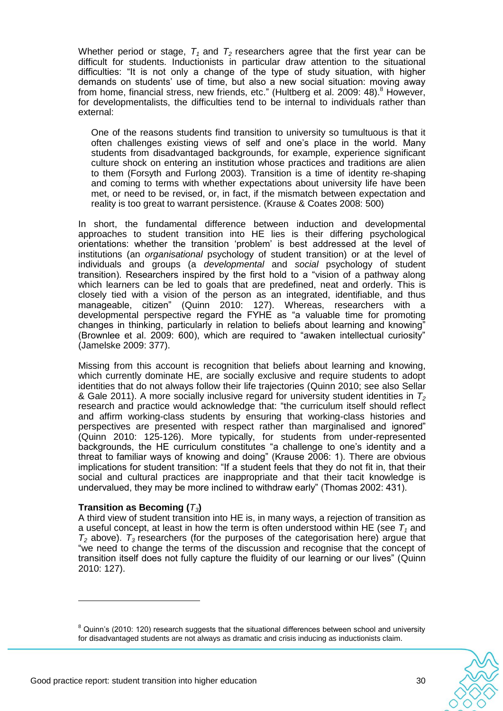Whether period or stage,  $T_1$  and  $T_2$  researchers agree that the first year can be difficult for students. Inductionists in particular draw attention to the situational difficulties: "It is not only a change of the type of study situation, with higher demands on students' use of time, but also a new social situation: moving away from home, financial stress, new friends, etc." (Hultberg et al. 2009: 48). However, for developmentalists, the difficulties tend to be internal to individuals rather than external:

One of the reasons students find transition to university so tumultuous is that it often challenges existing views of self and one's place in the world. Many students from disadvantaged backgrounds, for example, experience significant culture shock on entering an institution whose practices and traditions are alien to them (Forsyth and Furlong 2003). Transition is a time of identity re-shaping and coming to terms with whether expectations about university life have been met, or need to be revised, or, in fact, if the mismatch between expectation and reality is too great to warrant persistence. (Krause & Coates 2008: 500)

In short, the fundamental difference between induction and developmental approaches to student transition into HE lies is their differing psychological orientations: whether the transition 'problem' is best addressed at the level of institutions (an *organisational* psychology of student transition) or at the level of individuals and groups (a *developmental* and *social* psychology of student transition). Researchers inspired by the first hold to a "vision of a pathway along which learners can be led to goals that are predefined, neat and orderly. This is closely tied with a vision of the person as an integrated, identifiable, and thus manageable, citizen" (Quinn 2010: 127). Whereas, researchers with a developmental perspective regard the FYHE as "a valuable time for promoting changes in thinking, particularly in relation to beliefs about learning and knowing" (Brownlee et al. 2009: 600), which are required to "awaken intellectual curiosity" (Jamelske 2009: 377).

Missing from this account is recognition that beliefs about learning and knowing, which currently dominate HE, are socially exclusive and require students to adopt identities that do not always follow their life trajectories (Quinn 2010; see also Sellar & Gale 2011). A more socially inclusive regard for university student identities in *T<sup>2</sup>* research and practice would acknowledge that: "the curriculum itself should reflect and affirm working-class students by ensuring that working-class histories and perspectives are presented with respect rather than marginalised and ignored" (Quinn 2010: 125-126). More typically, for students from under-represented backgrounds, the HE curriculum constitutes "a challenge to one's identity and a threat to familiar ways of knowing and doing" (Krause 2006: 1). There are obvious implications for student transition: "If a student feels that they do not fit in, that their social and cultural practices are inappropriate and that their tacit knowledge is undervalued, they may be more inclined to withdraw early" (Thomas 2002: 431).

#### **Transition as Becoming (***T3***)**

-

A third view of student transition into HE is, in many ways, a rejection of transition as a useful concept, at least in how the term is often understood within HE (see  $T<sub>1</sub>$  and  $T_2$  above).  $T_3$  researchers (for the purposes of the categorisation here) argue that ―we need to change the terms of the discussion and recognise that the concept of transition itself does not fully capture the fluidity of our learning or our lives" (Quinn 2010: 127).



 $8$  Quinn's (2010: 120) research suggests that the situational differences between school and university for disadvantaged students are not always as dramatic and crisis inducing as inductionists claim.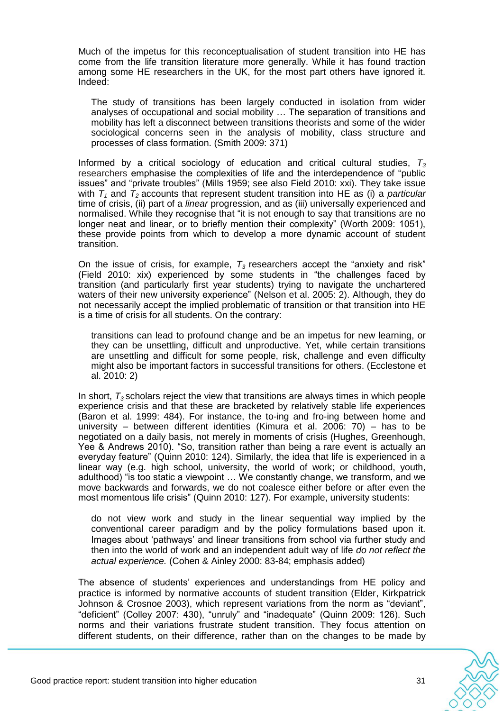Much of the impetus for this reconceptualisation of student transition into HE has come from the life transition literature more generally. While it has found traction among some HE researchers in the UK, for the most part others have ignored it. Indeed:

The study of transitions has been largely conducted in isolation from wider analyses of occupational and social mobility … The separation of transitions and mobility has left a disconnect between transitions theorists and some of the wider sociological concerns seen in the analysis of mobility, class structure and processes of class formation. (Smith 2009: 371)

Informed by a critical sociology of education and critical cultural studies, *T<sup>3</sup>* researchers emphasise the complexities of life and the interdependence of "public issues" and "private troubles" (Mills 1959; see also Field 2010: xxi). They take issue with *T<sup>1</sup>* and *T2* accounts that represent student transition into HE as (i) a *particular* time of crisis, (ii) part of a *linear* progression, and as (iii) universally experienced and normalised. While they recognise that "it is not enough to say that transitions are no longer neat and linear, or to briefly mention their complexity" (Worth 2009: 1051), these provide points from which to develop a more dynamic account of student transition.

On the issue of crisis, for example,  $T_3$  researchers accept the "anxiety and risk" (Field 2010: xix) experienced by some students in "the challenges faced by transition (and particularly first year students) trying to navigate the unchartered waters of their new university experience" (Nelson et al. 2005: 2). Although, they do not necessarily accept the implied problematic of transition or that transition into HE is a time of crisis for all students. On the contrary:

transitions can lead to profound change and be an impetus for new learning, or they can be unsettling, difficult and unproductive. Yet, while certain transitions are unsettling and difficult for some people, risk, challenge and even difficulty might also be important factors in successful transitions for others. (Ecclestone et al. 2010: 2)

In short, *T<sup>3</sup>* scholars reject the view that transitions are always times in which people experience crisis and that these are bracketed by relatively stable life experiences (Baron et al. 1999: 484). For instance, the to-ing and fro-ing between home and university – between different identities (Kimura et al. 2006: 70) – has to be negotiated on a daily basis, not merely in moments of crisis (Hughes, Greenhough, Yee & Andrews 2010). "So, transition rather than being a rare event is actually an everyday feature" (Quinn 2010: 124). Similarly, the idea that life is experienced in a linear way (e.g. high school, university, the world of work; or childhood, youth, adulthood) "is too static a viewpoint ... We constantly change, we transform, and we move backwards and forwards, we do not coalesce either before or after even the most momentous life crisis" (Quinn 2010: 127). For example, university students:

do not view work and study in the linear sequential way implied by the conventional career paradigm and by the policy formulations based upon it. Images about 'pathways' and linear transitions from school via further study and then into the world of work and an independent adult way of life *do not reflect the actual experience.* (Cohen & Ainley 2000: 83-84; emphasis added)

The absence of students' experiences and understandings from HE policy and practice is informed by normative accounts of student transition (Elder, Kirkpatrick Johnson & Crosnoe 2003), which represent variations from the norm as "deviant", "deficient" (Colley 2007: 430), "unruly" and "inadequate" (Quinn 2009: 126). Such norms and their variations frustrate student transition. They focus attention on different students, on their difference, rather than on the changes to be made by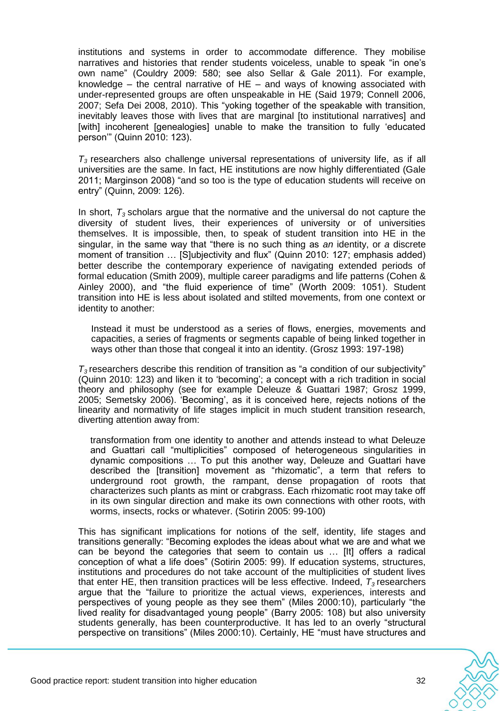institutions and systems in order to accommodate difference. They mobilise narratives and histories that render students voiceless, unable to speak "in one's own name‖ (Couldry 2009: 580; see also Sellar & Gale 2011). For example, knowledge – the central narrative of HE – and ways of knowing associated with under-represented groups are often unspeakable in HE (Said 1979; Connell 2006, 2007; Sefa Dei 2008, 2010). This "yoking together of the speakable with transition, inevitably leaves those with lives that are marginal [to institutional narratives] and [with] incoherent [genealogies] unable to make the transition to fully 'educated person" (Quinn 2010: 123).

*T3* researchers also challenge universal representations of university life, as if all universities are the same. In fact, HE institutions are now highly differentiated (Gale 2011; Marginson 2008) "and so too is the type of education students will receive on entry" (Quinn, 2009: 126).

In short,  $T_3$  scholars argue that the normative and the universal do not capture the diversity of student lives, their experiences of university or of universities themselves. It is impossible, then, to speak of student transition into HE in the singular, in the same way that "there is no such thing as *an* identity, or *a* discrete moment of transition ... [S]ubjectivity and flux" (Quinn 2010: 127; emphasis added) better describe the contemporary experience of navigating extended periods of formal education (Smith 2009), multiple career paradigms and life patterns (Cohen & Ainley 2000), and "the fluid experience of time" (Worth 2009: 1051). Student transition into HE is less about isolated and stilted movements, from one context or identity to another:

Instead it must be understood as a series of flows, energies, movements and capacities, a series of fragments or segments capable of being linked together in ways other than those that congeal it into an identity. (Grosz 1993: 197-198)

 $T_3$  researchers describe this rendition of transition as "a condition of our subjectivity" (Quinn 2010: 123) and liken it to 'becoming'; a concept with a rich tradition in social theory and philosophy (see for example Deleuze & Guattari 1987; Grosz 1999, 2005; Semetsky 2006). 'Becoming', as it is conceived here, rejects notions of the linearity and normativity of life stages implicit in much student transition research, diverting attention away from:

transformation from one identity to another and attends instead to what Deleuze and Guattari call "multiplicities" composed of heterogeneous singularities in dynamic compositions … To put this another way, Deleuze and Guattari have described the [transition] movement as "rhizomatic", a term that refers to underground root growth, the rampant, dense propagation of roots that characterizes such plants as mint or crabgrass. Each rhizomatic root may take off in its own singular direction and make its own connections with other roots, with worms, insects, rocks or whatever. (Sotirin 2005: 99-100)

This has significant implications for notions of the self, identity, life stages and transitions generally: "Becoming explodes the ideas about what we are and what we can be beyond the categories that seem to contain us … [It] offers a radical conception of what a life does" (Sotirin 2005: 99). If education systems, structures, institutions and procedures do not take account of the multiplicities of student lives that enter HE, then transition practices will be less effective. Indeed, *T3* researchers argue that the "failure to prioritize the actual views, experiences, interests and perspectives of young people as they see them" (Miles 2000:10), particularly "the lived reality for disadvantaged young people" (Barry 2005: 108) but also university students generally, has been counterproductive. It has led to an overly "structural perspective on transitions" (Miles 2000:10). Certainly, HE "must have structures and

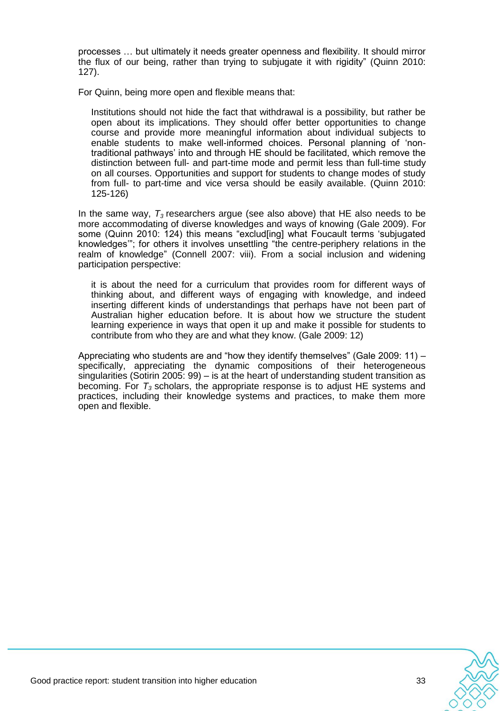processes … but ultimately it needs greater openness and flexibility. It should mirror the flux of our being, rather than trying to subjugate it with rigidity" (Quinn 2010: 127).

For Quinn, being more open and flexible means that:

Institutions should not hide the fact that withdrawal is a possibility, but rather be open about its implications. They should offer better opportunities to change course and provide more meaningful information about individual subjects to enable students to make well-informed choices. Personal planning of 'nontraditional pathways' into and through HE should be facilitated, which remove the distinction between full- and part-time mode and permit less than full-time study on all courses. Opportunities and support for students to change modes of study from full- to part-time and vice versa should be easily available. (Quinn 2010: 125-126)

In the same way,  $T_3$  researchers argue (see also above) that HE also needs to be more accommodating of diverse knowledges and ways of knowing (Gale 2009). For some (Quinn 2010: 124) this means "exclud[ing] what Foucault terms 'subjugated knowledges"; for others it involves unsettling "the centre-periphery relations in the realm of knowledge" (Connell 2007: viii). From a social inclusion and widening participation perspective:

it is about the need for a curriculum that provides room for different ways of thinking about, and different ways of engaging with knowledge, and indeed inserting different kinds of understandings that perhaps have not been part of Australian higher education before. It is about how we structure the student learning experience in ways that open it up and make it possible for students to contribute from who they are and what they know. (Gale 2009: 12)

Appreciating who students are and "how they identify themselves" (Gale 2009: 11) – specifically, appreciating the dynamic compositions of their heterogeneous singularities (Sotirin 2005: 99) – is at the heart of understanding student transition as becoming. For *T<sup>3</sup>* scholars, the appropriate response is to adjust HE systems and practices, including their knowledge systems and practices, to make them more open and flexible.

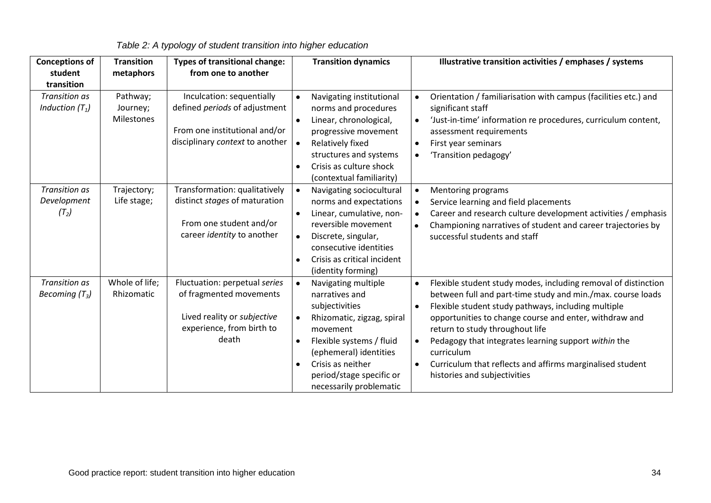| <b>Conceptions of</b><br>student<br>transition | <b>Transition</b><br>metaphors            | <b>Types of transitional change:</b><br>from one to another                                                                    | <b>Transition dynamics</b>                                                                                                                                                                                                                                    | Illustrative transition activities / emphases / systems                                                                                                                                                                                                                                                                                                                                                                                                                                          |
|------------------------------------------------|-------------------------------------------|--------------------------------------------------------------------------------------------------------------------------------|---------------------------------------------------------------------------------------------------------------------------------------------------------------------------------------------------------------------------------------------------------------|--------------------------------------------------------------------------------------------------------------------------------------------------------------------------------------------------------------------------------------------------------------------------------------------------------------------------------------------------------------------------------------------------------------------------------------------------------------------------------------------------|
| <b>Transition as</b><br>Induction $(T_1)$      | Pathway;<br>Journey;<br><b>Milestones</b> | Inculcation: sequentially<br>defined periods of adjustment<br>From one institutional and/or<br>disciplinary context to another | Navigating institutional<br>$\bullet$<br>norms and procedures<br>Linear, chronological,<br>$\bullet$<br>progressive movement<br>Relatively fixed<br>structures and systems<br>Crisis as culture shock<br>(contextual familiarity)                             | Orientation / familiarisation with campus (facilities etc.) and<br>$\bullet$<br>significant staff<br>'Just-in-time' information re procedures, curriculum content,<br>$\bullet$<br>assessment requirements<br>First year seminars<br>$\bullet$<br>'Transition pedagogy'<br>$\bullet$                                                                                                                                                                                                             |
| <b>Transition as</b><br>Development<br>$(T_2)$ | Trajectory;<br>Life stage;                | Transformation: qualitatively<br>distinct stages of maturation<br>From one student and/or<br>career identity to another        | Navigating sociocultural<br>norms and expectations<br>Linear, cumulative, non-<br>reversible movement<br>Discrete, singular,<br>$\bullet$<br>consecutive identities<br>Crisis as critical incident<br>$\bullet$<br>(identity forming)                         | <b>Mentoring programs</b><br>Service learning and field placements<br>Career and research culture development activities / emphasis<br>Championing narratives of student and career trajectories by<br>successful students and staff                                                                                                                                                                                                                                                             |
| <b>Transition as</b><br>Becoming $(T_3)$       | Whole of life;<br>Rhizomatic              | Fluctuation: perpetual series<br>of fragmented movements<br>Lived reality or subjective<br>experience, from birth to<br>death  | Navigating multiple<br>narratives and<br>subjectivities<br>Rhizomatic, zigzag, spiral<br>movement<br>Flexible systems / fluid<br>$\bullet$<br>(ephemeral) identities<br>Crisis as neither<br>$\bullet$<br>period/stage specific or<br>necessarily problematic | Flexible student study modes, including removal of distinction<br>$\bullet$<br>between full and part-time study and min./max. course loads<br>Flexible student study pathways, including multiple<br>$\bullet$<br>opportunities to change course and enter, withdraw and<br>return to study throughout life<br>Pedagogy that integrates learning support within the<br>٠<br>curriculum<br>Curriculum that reflects and affirms marginalised student<br>$\bullet$<br>histories and subjectivities |

# *Table 2: A typology of student transition into higher education*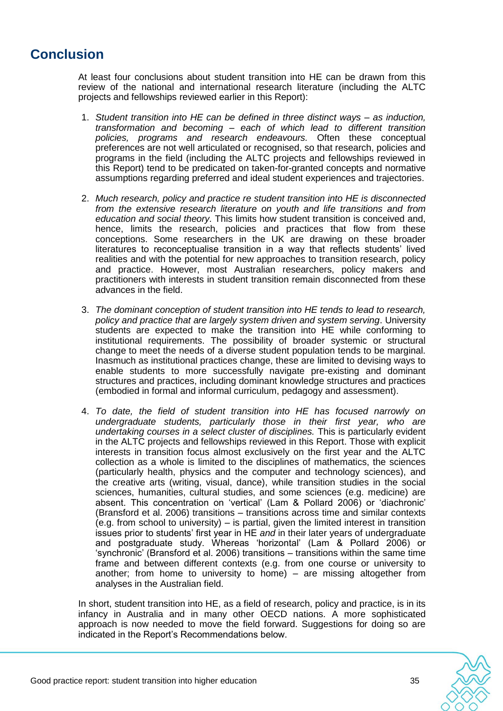# **Conclusion**

At least four conclusions about student transition into HE can be drawn from this review of the national and international research literature (including the ALTC projects and fellowships reviewed earlier in this Report):

- 1. *Student transition into HE can be defined in three distinct ways – as induction, transformation and becoming – each of which lead to different transition policies, programs and research endeavours.* Often these conceptual preferences are not well articulated or recognised, so that research, policies and programs in the field (including the ALTC projects and fellowships reviewed in this Report) tend to be predicated on taken-for-granted concepts and normative assumptions regarding preferred and ideal student experiences and trajectories.
- 2. *Much research, policy and practice re student transition into HE is disconnected from the extensive research literature on youth and life transitions and from education and social theory.* This limits how student transition is conceived and, hence, limits the research, policies and practices that flow from these conceptions. Some researchers in the UK are drawing on these broader literatures to reconceptualise transition in a way that reflects students' lived realities and with the potential for new approaches to transition research, policy and practice. However, most Australian researchers, policy makers and practitioners with interests in student transition remain disconnected from these advances in the field.
- 3. *The dominant conception of student transition into HE tends to lead to research, policy and practice that are largely system driven and system serving*. University students are expected to make the transition into HE while conforming to institutional requirements. The possibility of broader systemic or structural change to meet the needs of a diverse student population tends to be marginal. Inasmuch as institutional practices change, these are limited to devising ways to enable students to more successfully navigate pre-existing and dominant structures and practices, including dominant knowledge structures and practices (embodied in formal and informal curriculum, pedagogy and assessment).
- 4. *To date, the field of student transition into HE has focused narrowly on undergraduate students, particularly those in their first year, who are undertaking courses in a select cluster of disciplines.* This is particularly evident in the ALTC projects and fellowships reviewed in this Report. Those with explicit interests in transition focus almost exclusively on the first year and the ALTC collection as a whole is limited to the disciplines of mathematics, the sciences (particularly health, physics and the computer and technology sciences), and the creative arts (writing, visual, dance), while transition studies in the social sciences, humanities, cultural studies, and some sciences (e.g. medicine) are absent. This concentration on 'vertical' (Lam & Pollard 2006) or 'diachronic' (Bransford et al. 2006) transitions – transitions across time and similar contexts  $(e.g. from school to university) – is partial, given the limited interest in transition$ issues prior to students' first year in HE *and* in their later years of undergraduate and postgraduate study. Whereas 'horizontal' (Lam & Pollard 2006) or ‗synchronic' (Bransford et al. 2006) transitions – transitions within the same time frame and between different contexts (e.g. from one course or university to another; from home to university to home) – are missing altogether from analyses in the Australian field.

In short, student transition into HE, as a field of research, policy and practice, is in its infancy in Australia and in many other OECD nations. A more sophisticated approach is now needed to move the field forward. Suggestions for doing so are indicated in the Report's Recommendations below.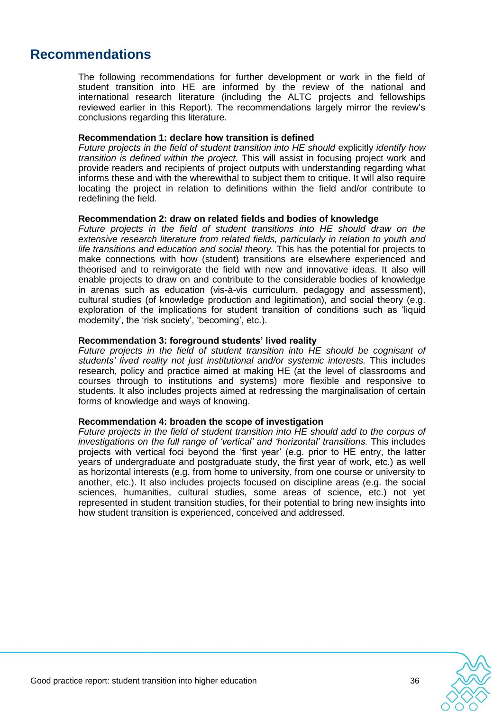# **Recommendations**

The following recommendations for further development or work in the field of student transition into HE are informed by the review of the national and international research literature (including the ALTC projects and fellowships reviewed earlier in this Report). The recommendations largely mirror the review's conclusions regarding this literature.

#### **Recommendation 1: declare how transition is defined**

*Future projects in the field of student transition into HE should explicitly <i>identify how transition is defined within the project.* This will assist in focusing project work and provide readers and recipients of project outputs with understanding regarding what informs these and with the wherewithal to subject them to critique. It will also require locating the project in relation to definitions within the field and/or contribute to redefining the field.

#### **Recommendation 2: draw on related fields and bodies of knowledge**

*Future projects in the field of student transitions into HE should draw on the extensive research literature from related fields, particularly in relation to youth and life transitions and education and social theory.* This has the potential for projects to make connections with how (student) transitions are elsewhere experienced and theorised and to reinvigorate the field with new and innovative ideas. It also will enable projects to draw on and contribute to the considerable bodies of knowledge in arenas such as education (vis-à-vis curriculum, pedagogy and assessment), cultural studies (of knowledge production and legitimation), and social theory (e.g. exploration of the implications for student transition of conditions such as 'liquid modernity', the 'risk society', 'becoming', etc.).

#### **Recommendation 3: foreground students' lived reality**

Future projects in the field of student transition into HE should be cognisant of *students" lived reality not just institutional and/or systemic interests.* This includes research, policy and practice aimed at making HE (at the level of classrooms and courses through to institutions and systems) more flexible and responsive to students. It also includes projects aimed at redressing the marginalisation of certain forms of knowledge and ways of knowing.

#### **Recommendation 4: broaden the scope of investigation**

*Future projects in the field of student transition into HE should add to the corpus of investigations on the full range of "vertical" and "horizontal" transitions.* This includes projects with vertical foci beyond the ‗first year' (e.g. prior to HE entry, the latter years of undergraduate and postgraduate study, the first year of work, etc.) as well as horizontal interests (e.g. from home to university, from one course or university to another, etc.). It also includes projects focused on discipline areas (e.g. the social sciences, humanities, cultural studies, some areas of science, etc.) not yet represented in student transition studies, for their potential to bring new insights into how student transition is experienced, conceived and addressed.

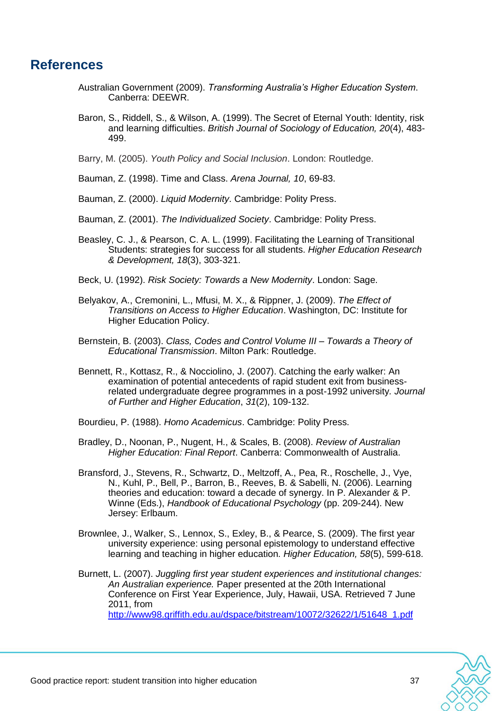# **References**

- Australian Government (2009). *Transforming Australia"s Higher Education System*. Canberra: DEEWR.
- Baron, S., Riddell, S., & Wilson, A. (1999). The Secret of Eternal Youth: Identity, risk and learning difficulties. *British Journal of Sociology of Education, 20*(4), 483- 499.
- Barry, M. (2005). *Youth Policy and Social Inclusion*. London: Routledge.
- Bauman, Z. (1998). Time and Class. *Arena Journal, 10*, 69-83.
- Bauman, Z. (2000). *Liquid Modernity*. Cambridge: Polity Press.
- Bauman, Z. (2001). *The Individualized Society*. Cambridge: Polity Press.
- Beasley, C. J., & Pearson, C. A. L. (1999). Facilitating the Learning of Transitional Students: strategies for success for all students. *Higher Education Research & Development, 18*(3), 303-321.
- Beck, U. (1992). *Risk Society: Towards a New Modernity*. London: Sage.
- Belyakov, A., Cremonini, L., Mfusi, M. X., & Rippner, J. (2009). *The Effect of Transitions on Access to Higher Education*. Washington, DC: Institute for Higher Education Policy.
- Bernstein, B. (2003). *Class, Codes and Control Volume III – Towards a Theory of Educational Transmission*. Milton Park: Routledge.
- Bennett, R., Kottasz, R., & Nocciolino, J. (2007). Catching the early walker: An examination of potential antecedents of rapid student exit from businessrelated undergraduate degree programmes in a post-1992 university*. Journal of Further and Higher Education*, *31*(2), 109-132.
- Bourdieu, P. (1988). *Homo Academicus*. Cambridge: Polity Press.
- Bradley, D., Noonan, P., Nugent, H., & Scales, B. (2008). *Review of Australian Higher Education: Final Report*. Canberra: Commonwealth of Australia.
- Bransford, J., Stevens, R., Schwartz, D., Meltzoff, A., Pea, R., Roschelle, J., Vye, N., Kuhl, P., Bell, P., Barron, B., Reeves, B. & Sabelli, N. (2006). Learning theories and education: toward a decade of synergy. In P. Alexander & P. Winne (Eds.), *Handbook of Educational Psychology* (pp. 209-244). New Jersey: Erlbaum.
- Brownlee, J., Walker, S., Lennox, S., Exley, B., & Pearce, S. (2009). The first year university experience: using personal epistemology to understand effective learning and teaching in higher education. *Higher Education, 58*(5), 599-618.
- Burnett, L. (2007). *Juggling first year student experiences and institutional changes: An Australian experience.* Paper presented at the 20th International Conference on First Year Experience, July, Hawaii, USA. Retrieved 7 June 2011, from [http://www98.griffith.edu.au/dspace/bitstream/10072/32622/1/51648\\_1.pdf](http://www98.griffith.edu.au/dspace/bitstream/10072/32622/1/51648_1.pdf)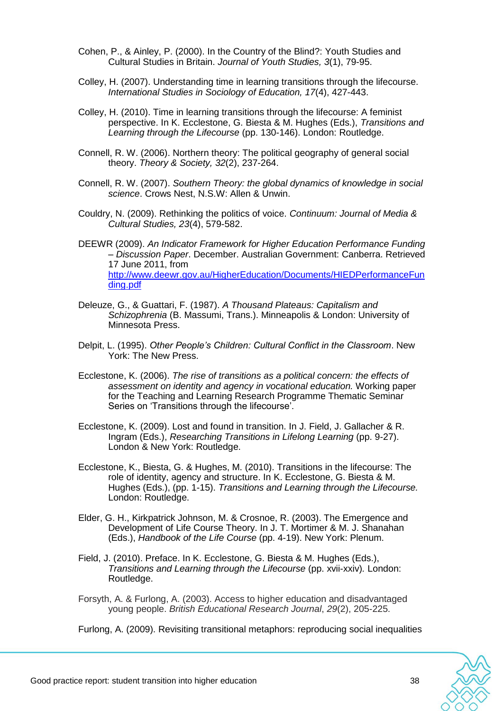- Cohen, P., & Ainley, P. (2000). In the Country of the Blind?: Youth Studies and Cultural Studies in Britain. *Journal of Youth Studies, 3*(1), 79-95.
- Colley, H. (2007). Understanding time in learning transitions through the lifecourse. *International Studies in Sociology of Education, 17*(4), 427-443.
- Colley, H. (2010). Time in learning transitions through the lifecourse: A feminist perspective. In K. Ecclestone, G. Biesta & M. Hughes (Eds.), *Transitions and Learning through the Lifecourse* (pp. 130-146). London: Routledge.
- Connell, R. W. (2006). Northern theory: The political geography of general social theory. *Theory & Society, 32*(2), 237-264.
- Connell, R. W. (2007). *Southern Theory: the global dynamics of knowledge in social science*. Crows Nest, N.S.W: Allen & Unwin.
- Couldry, N. (2009). Rethinking the politics of voice. *Continuum: Journal of Media & Cultural Studies, 23*(4), 579-582.
- DEEWR (2009). *An Indicator Framework for Higher Education Performance Funding – Discussion Paper*. December. Australian Government: Canberra. Retrieved 17 June 2011, from [http://www.deewr.gov.au/HigherEducation/Documents/HIEDPerformanceFun](http://www.deewr.gov.au/HigherEducation/Documents/HIEDPerformanceFunding.pdf) [ding.pdf](http://www.deewr.gov.au/HigherEducation/Documents/HIEDPerformanceFunding.pdf)
- Deleuze, G., & Guattari, F. (1987). *A Thousand Plateaus: Capitalism and Schizophrenia* (B. Massumi, Trans.). Minneapolis & London: University of Minnesota Press.
- Delpit, L. (1995). *Other People"s Children: Cultural Conflict in the Classroom*. New York: The New Press.
- Ecclestone, K. (2006). *The rise of transitions as a political concern: the effects of assessment on identity and agency in vocational education.* Working paper for the Teaching and Learning Research Programme Thematic Seminar Series on 'Transitions through the lifecourse'.
- Ecclestone, K. (2009). Lost and found in transition. In J. Field, J. Gallacher & R. Ingram (Eds.), *Researching Transitions in Lifelong Learning* (pp. 9-27). London & New York: Routledge.
- Ecclestone, K., Biesta, G. & Hughes, M. (2010). Transitions in the lifecourse: The role of identity, agency and structure. In K. Ecclestone, G. Biesta & M. Hughes (Eds.), (pp. 1-15). *Transitions and Learning through the Lifecourse.* London: Routledge.
- Elder, G. H., Kirkpatrick Johnson, M. & Crosnoe, R. (2003). The Emergence and Development of Life Course Theory. In J. T. Mortimer & M. J. Shanahan (Eds.), *Handbook of the Life Course* (pp. 4-19). New York: Plenum.
- Field, J. (2010). Preface. In K. Ecclestone, G. Biesta & M. Hughes (Eds.), *Transitions and Learning through the Lifecourse* (pp. xvii-xxiv)*.* London: Routledge.
- Forsyth, A. & Furlong, A. (2003). Access to higher education and disadvantaged young people. *British Educational Research Journal*, *29*(2), 205-225.
- Furlong, A. (2009). Revisiting transitional metaphors: reproducing social inequalities

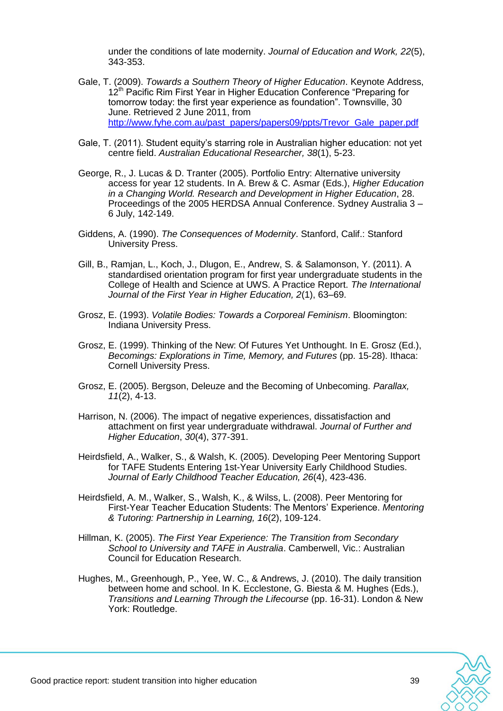under the conditions of late modernity. *Journal of Education and Work, 22*(5), 343-353.

- Gale, T. (2009). *Towards a Southern Theory of Higher Education*. Keynote Address, 12<sup>th</sup> Pacific Rim First Year in Higher Education Conference "Preparing for tomorrow today: the first year experience as foundation". Townsville, 30 June. Retrieved 2 June 2011, from [http://www.fyhe.com.au/past\\_papers/papers09/ppts/Trevor\\_Gale\\_paper.pdf](http://www.fyhe.com.au/past_papers/papers09/ppts/Trevor_Gale_paper.pdf)
- Gale, T. (2011). Student equity's starring role in Australian higher education: not yet centre field. *Australian Educational Researcher, 38*(1), 5-23.
- George, R., J. Lucas & D. Tranter (2005). Portfolio Entry: Alternative university access for year 12 students. In A. Brew & C. Asmar (Eds.), *Higher Education in a Changing World. Research and Development in Higher Education*, 28. Proceedings of the 2005 HERDSA Annual Conference. Sydney Australia 3 – 6 July, 142‐149.
- Giddens, A. (1990). *The Consequences of Modernity*. Stanford, Calif.: Stanford University Press.
- Gill, B., Ramjan, L., Koch, J., Dlugon, E., Andrew, S. & Salamonson, Y. (2011). A standardised orientation program for first year undergraduate students in the College of Health and Science at UWS. A Practice Report. *The International Journal of the First Year in Higher Education, 2*(1), 63–69.
- Grosz, E. (1993). *Volatile Bodies: Towards a Corporeal Feminism*. Bloomington: Indiana University Press.
- Grosz, E. (1999). Thinking of the New: Of Futures Yet Unthought. In E. Grosz (Ed.), *Becomings: Explorations in Time, Memory, and Futures* (pp. 15-28). Ithaca: Cornell University Press.
- Grosz, E. (2005). Bergson, Deleuze and the Becoming of Unbecoming. *Parallax, 11*(2), 4-13.
- Harrison, N. (2006). The impact of negative experiences, dissatisfaction and attachment on first year undergraduate withdrawal. *Journal of Further and Higher Education*, *30*(4), 377-391.
- Heirdsfield, A., Walker, S., & Walsh, K. (2005). Developing Peer Mentoring Support for TAFE Students Entering 1st-Year University Early Childhood Studies. *Journal of Early Childhood Teacher Education, 26*(4), 423-436.
- Heirdsfield, A. M., Walker, S., Walsh, K., & Wilss, L. (2008). Peer Mentoring for First-Year Teacher Education Students: The Mentors' Experience. *Mentoring & Tutoring: Partnership in Learning, 16*(2), 109-124.
- Hillman, K. (2005). *The First Year Experience: The Transition from Secondary School to University and TAFE in Australia*. Camberwell, Vic.: Australian Council for Education Research.
- Hughes, M., Greenhough, P., Yee, W. C., & Andrews, J. (2010). The daily transition between home and school. In K. Ecclestone, G. Biesta & M. Hughes (Eds.), *Transitions and Learning Through the Lifecourse* (pp. 16-31). London & New York: Routledge.

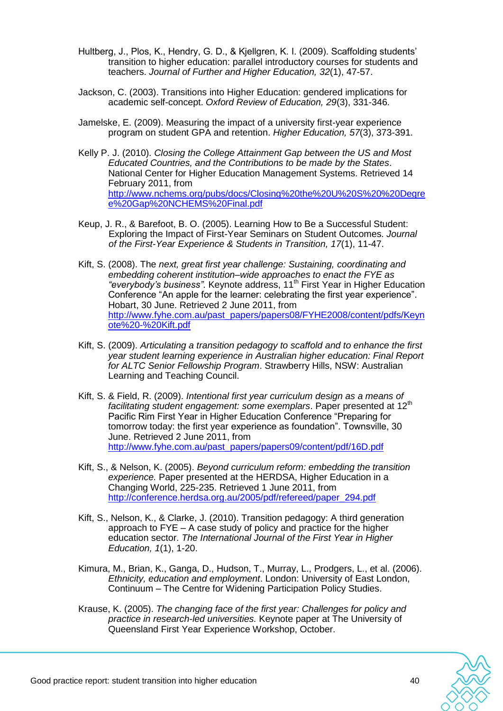- Hultberg, J., Plos, K., Hendry, G. D., & Kjellgren, K. I. (2009). Scaffolding students' transition to higher education: parallel introductory courses for students and teachers. *Journal of Further and Higher Education, 32*(1), 47-57.
- Jackson, C. (2003). Transitions into Higher Education: gendered implications for academic self-concept. *Oxford Review of Education, 29*(3), 331-346.
- Jamelske, E. (2009). Measuring the impact of a university first-year experience program on student GPA and retention. *Higher Education, 57*(3), 373-391.
- Kelly P. J. (2010). *Closing the College Attainment Gap between the US and Most Educated Countries, and the Contributions to be made by the States*. National Center for Higher Education Management Systems. Retrieved 14 February 2011, from [http://www.nchems.org/pubs/docs/Closing%20the%20U%20S%20%20Degre](http://www.nchems.org/pubs/docs/Closing%20the%20U%20S%20%20Degree%20Gap%20NCHEMS%20Final.pdf) [e%20Gap%20NCHEMS%20Final.pdf](http://www.nchems.org/pubs/docs/Closing%20the%20U%20S%20%20Degree%20Gap%20NCHEMS%20Final.pdf)
- Keup, J. R., & Barefoot, B. O. (2005). Learning How to Be a Successful Student: Exploring the Impact of First-Year Seminars on Student Outcomes. *Journal of the First-Year Experience & Students in Transition, 17*(1), 11-47.
- Kift, S. (2008). The *next, great first year challenge: Sustaining, coordinating and embedding coherent institution–wide approaches to enact the FYE as "everybody"s business"*. Keynote address, 11th First Year in Higher Education Conference "An apple for the learner: celebrating the first year experience". Hobart, 30 June. Retrieved 2 June 2011, from [http://www.fyhe.com.au/past\\_papers/papers08/FYHE2008/content/pdfs/Keyn](http://www.fyhe.com.au/past_papers/papers08/FYHE2008/content/pdfs/Keynote%20-%20Kift.pdf) [ote%20-%20Kift.pdf](http://www.fyhe.com.au/past_papers/papers08/FYHE2008/content/pdfs/Keynote%20-%20Kift.pdf)
- Kift, S. (2009). *Articulating a transition pedagogy to scaffold and to enhance the first year student learning experience in Australian higher education: Final Report for ALTC Senior Fellowship Program*. Strawberry Hills, NSW: Australian Learning and Teaching Council.
- Kift, S. & Field, R. (2009). *Intentional first year curriculum design as a means of*  facilitating student engagement: some exemplars. Paper presented at 12<sup>th</sup> Pacific Rim First Year in Higher Education Conference "Preparing for tomorrow today: the first year experience as foundation". Townsville, 30 June. Retrieved 2 June 2011, from [http://www.fyhe.com.au/past\\_papers/papers09/content/pdf/16D.pdf](http://www.fyhe.com.au/past_papers/papers09/content/pdf/16D.pdf)
- Kift, S., & Nelson, K. (2005). *Beyond curriculum reform: embedding the transition experience.* Paper presented at the HERDSA, Higher Education in a Changing World, 225-235. Retrieved 1 June 2011, from [http://conference.herdsa.org.au/2005/pdf/refereed/paper\\_294.pdf](http://conference.herdsa.org.au/2005/pdf/refereed/paper_294.pdf)
- Kift, S., Nelson, K., & Clarke, J. (2010). Transition pedagogy: A third generation approach to FYE – A case study of policy and practice for the higher education sector. *The International Journal of the First Year in Higher Education, 1*(1), 1-20.
- Kimura, M., Brian, K., Ganga, D., Hudson, T., Murray, L., Prodgers, L., et al. (2006). *Ethnicity, education and employment*. London: University of East London, Continuum – The Centre for Widening Participation Policy Studies.
- Krause, K. (2005). *The changing face of the first year: Challenges for policy and practice in research-led universities.* Keynote paper at The University of Queensland First Year Experience Workshop, October.

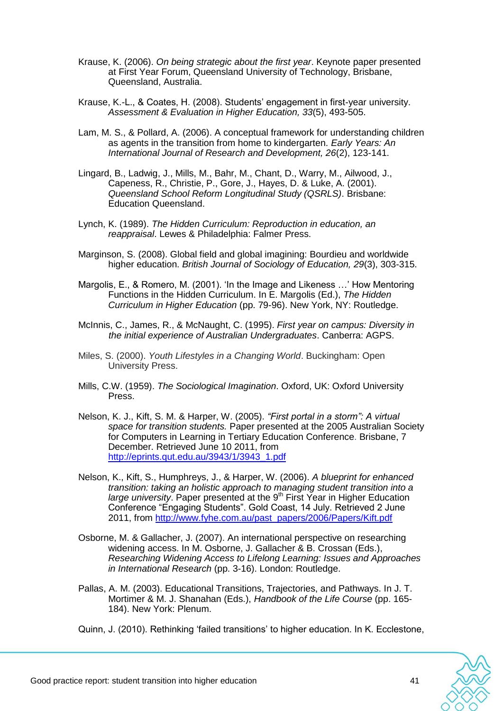- Krause, K. (2006). *On being strategic about the first year*. Keynote paper presented at First Year Forum, Queensland University of Technology, Brisbane, Queensland, Australia.
- Krause, K.-L., & Coates, H. (2008). Students' engagement in first-year university. *Assessment & Evaluation in Higher Education, 33*(5), 493-505.
- Lam, M. S., & Pollard, A. (2006). A conceptual framework for understanding children as agents in the transition from home to kindergarten. *Early Years: An International Journal of Research and Development, 26*(2), 123-141.
- Lingard, B., Ladwig, J., Mills, M., Bahr, M., Chant, D., Warry, M., Ailwood, J., Capeness, R., Christie, P., Gore, J., Hayes, D. & Luke, A. (2001). *Queensland School Reform Longitudinal Study (QSRLS)*. Brisbane: Education Queensland.
- Lynch, K. (1989). *The Hidden Curriculum: Reproduction in education, an reappraisal*. Lewes & Philadelphia: Falmer Press.
- Marginson, S. (2008). Global field and global imagining: Bourdieu and worldwide higher education. *British Journal of Sociology of Education, 29*(3), 303-315.
- Margolis, E., & Romero, M. (2001). 'In the Image and Likeness ...' How Mentoring Functions in the Hidden Curriculum. In E. Margolis (Ed.), *The Hidden Curriculum in Higher Education* (pp. 79-96). New York, NY: Routledge.
- McInnis, C., James, R., & McNaught, C. (1995). *First year on campus: Diversity in the initial experience of Australian Undergraduates*. Canberra: AGPS.
- Miles, S. (2000). *Youth Lifestyles in a Changing World*. Buckingham: Open University Press.
- Mills, C.W. (1959). *The Sociological Imagination*. Oxford, UK: Oxford University Press.
- Nelson, K. J., Kift, S. M. & Harper, W. (2005). *"First portal in a storm": A virtual space for transition students.* Paper presented at the 2005 Australian Society for Computers in Learning in Tertiary Education Conference. Brisbane, 7 December. Retrieved June 10 2011, from [http://eprints.qut.edu.au/3943/1/3943\\_1.pdf](http://eprints.qut.edu.au/3943/1/3943_1.pdf)
- Nelson, K., Kift, S., Humphreys, J., & Harper, W. (2006). *A blueprint for enhanced transition: taking an holistic approach to managing student transition into a large university*. Paper presented at the 9<sup>th</sup> First Year in Higher Education Conference "Engaging Students". Gold Coast, 14 July. Retrieved 2 June 2011, from [http://www.fyhe.com.au/past\\_papers/2006/Papers/Kift.pdf](http://www.fyhe.com.au/past_papers/2006/Papers/Kift.pdf)
- Osborne, M. & Gallacher, J. (2007). An international perspective on researching widening access. In M. Osborne, J. Gallacher & B. Crossan (Eds.), *Researching Widening Access to Lifelong Learning: Issues and Approaches in International Research* (pp. 3-16). London: Routledge.
- Pallas, A. M. (2003). Educational Transitions, Trajectories, and Pathways. In J. T. Mortimer & M. J. Shanahan (Eds.), *Handbook of the Life Course* (pp. 165- 184). New York: Plenum.
- Quinn, J. (2010). Rethinking ‗failed transitions' to higher education. In K. Ecclestone,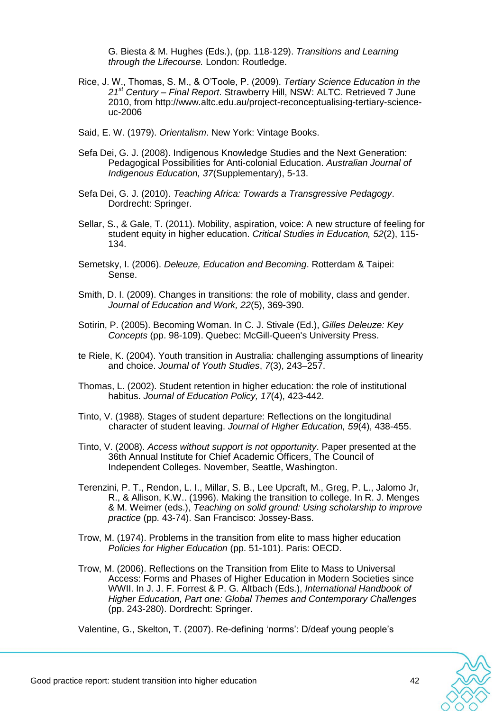G. Biesta & M. Hughes (Eds.), (pp. 118-129). *Transitions and Learning through the Lifecourse.* London: Routledge.

- Rice, J. W., Thomas, S. M., & O'Toole, P. (2009). *Tertiary Science Education in the 21st Century – Final Report*. Strawberry Hill, NSW: ALTC. Retrieved 7 June 2010, from http://www.altc.edu.au/project-reconceptualising-tertiary-scienceuc-2006
- Said, E. W. (1979). *Orientalism*. New York: Vintage Books.
- Sefa Dei, G. J. (2008). Indigenous Knowledge Studies and the Next Generation: Pedagogical Possibilities for Anti-colonial Education. *Australian Journal of Indigenous Education, 37*(Supplementary), 5-13.
- Sefa Dei, G. J. (2010). *Teaching Africa: Towards a Transgressive Pedagogy*. Dordrecht: Springer.
- Sellar, S., & Gale, T. (2011). Mobility, aspiration, voice: A new structure of feeling for student equity in higher education. *Critical Studies in Education, 52*(2), 115- 134.
- Semetsky, I. (2006). *Deleuze, Education and Becoming*. Rotterdam & Taipei: Sense.
- Smith, D. I. (2009). Changes in transitions: the role of mobility, class and gender. *Journal of Education and Work, 22*(5), 369-390.
- Sotirin, P. (2005). Becoming Woman. In C. J. Stivale (Ed.), *Gilles Deleuze: Key Concepts* (pp. 98-109). Quebec: McGill-Queen's University Press.
- te Riele, K. (2004). Youth transition in Australia: challenging assumptions of linearity and choice. *Journal of Youth Studies*, *7*(3), 243–257.
- Thomas, L. (2002). Student retention in higher education: the role of institutional habitus. *Journal of Education Policy, 17*(4), 423-442.
- Tinto, V. (1988). Stages of student departure: Reflections on the longitudinal character of student leaving. *Journal of Higher Education, 59*(4), 438-455.
- Tinto, V. (2008). *Access without support is not opportunity*. Paper presented at the 36th Annual Institute for Chief Academic Officers, The Council of Independent Colleges. November, Seattle, Washington.
- Terenzini, P. T., Rendon, L. I., Millar, S. B., Lee Upcraft, M., Greg, P. L., Jalomo Jr, R., & Allison, K.W.. (1996). Making the transition to college. In R. J. Menges & M. Weimer (eds.), *Teaching on solid ground: Using scholarship to improve practice* (pp. 43-74). San Francisco: Jossey-Bass.
- Trow, M. (1974). Problems in the transition from elite to mass higher education *Policies for Higher Education* (pp. 51-101). Paris: OECD.
- Trow, M. (2006). Reflections on the Transition from Elite to Mass to Universal Access: Forms and Phases of Higher Education in Modern Societies since WWII. In J. J. F. Forrest & P. G. Altbach (Eds.), *International Handbook of Higher Education, Part one: Global Themes and Contemporary Challenges* (pp. 243-280). Dordrecht: Springer.

Valentine, G., Skelton, T. (2007). Re-defining 'norms': D/deaf young people's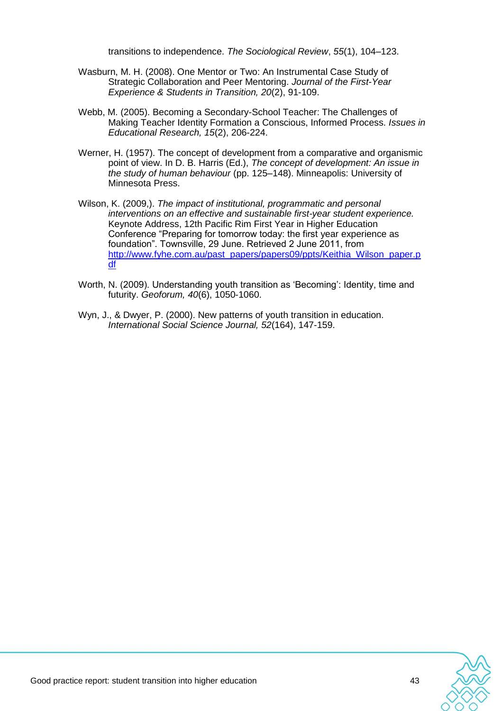transitions to independence. *The Sociological Review*, *55*(1), 104–123.

- Wasburn, M. H. (2008). One Mentor or Two: An Instrumental Case Study of Strategic Collaboration and Peer Mentoring. *Journal of the First-Year Experience & Students in Transition, 20*(2), 91-109.
- Webb, M. (2005). Becoming a Secondary-School Teacher: The Challenges of Making Teacher Identity Formation a Conscious, Informed Process. *Issues in Educational Research, 15*(2), 206-224.
- Werner, H. (1957). The concept of development from a comparative and organismic point of view. In D. B. Harris (Ed.), *The concept of development: An issue in the study of human behaviour* (pp. 125–148). Minneapolis: University of Minnesota Press.
- Wilson, K. (2009,). *The impact of institutional, programmatic and personal interventions on an effective and sustainable first-year student experience.*  Keynote Address, 12th Pacific Rim First Year in Higher Education Conference "Preparing for tomorrow today: the first year experience as foundation". Townsville, 29 June. Retrieved 2 June 2011, from [http://www.fyhe.com.au/past\\_papers/papers09/ppts/Keithia\\_Wilson\\_paper.p](http://www.fyhe.com.au/past_papers/papers09/ppts/Keithia_Wilson_paper.pdf) [df](http://www.fyhe.com.au/past_papers/papers09/ppts/Keithia_Wilson_paper.pdf)
- Worth, N. (2009). Understanding youth transition as 'Becoming': Identity, time and futurity. *Geoforum, 40*(6), 1050-1060.
- Wyn, J., & Dwyer, P. (2000). New patterns of youth transition in education. *International Social Science Journal, 52*(164), 147-159.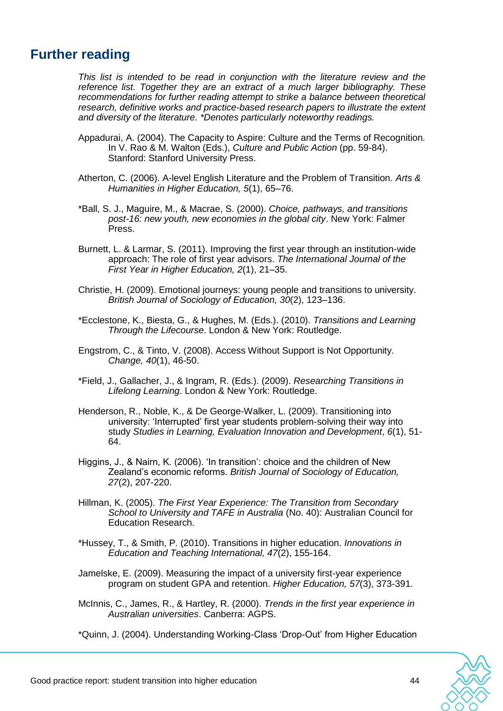# **Further reading**

*This list is intended to be read in conjunction with the literature review and the reference list. Together they are an extract of a much larger bibliography. These recommendations for further reading attempt to strike a balance between theoretical research, definitive works and practice-based research papers to illustrate the extent and diversity of the literature. \*Denotes particularly noteworthy readings.*

- Appadurai, A. (2004). The Capacity to Aspire: Culture and the Terms of Recognition. In V. Rao & M. Walton (Eds.), *Culture and Public Action* (pp. 59-84). Stanford: Stanford University Press.
- Atherton, C. (2006). A-level English Literature and the Problem of Transition. *Arts & Humanities in Higher Education, 5*(1), 65–76.
- \*Ball, S. J., Maguire, M., & Macrae, S. (2000). *Choice, pathways, and transitions post-16: new youth, new economies in the global city*. New York: Falmer Press.
- Burnett, L. & Larmar, S. (2011). Improving the first year through an institution-wide approach: The role of first year advisors. *The International Journal of the First Year in Higher Education, 2*(1), 21–35.
- Christie, H. (2009). Emotional journeys: young people and transitions to university. *British Journal of Sociology of Education, 30*(2), 123–136.
- \*Ecclestone, K., Biesta, G., & Hughes, M. (Eds.). (2010). *Transitions and Learning Through the Lifecourse*. London & New York: Routledge.
- Engstrom, C., & Tinto, V. (2008). Access Without Support is Not Opportunity. *Change, 40*(1), 46-50.
- \*Field, J., Gallacher, J., & Ingram, R. (Eds.). (2009). *Researching Transitions in Lifelong Learning*. London & New York: Routledge.
- Henderson, R., Noble, K., & De George-Walker, L. (2009). Transitioning into university: 'Interrupted' first year students problem-solving their way into study *Studies in Learning, Evaluation Innovation and Development*, *6*(1), 51- 64.
- Higgins, J., & Nairn, K. (2006). 'In transition': choice and the children of New Zealand's economic reforms. *British Journal of Sociology of Education, 27*(2), 207-220.
- Hillman, K. (2005). *The First Year Experience: The Transition from Secondary School to University and TAFE in Australia* (No. 40): Australian Council for Education Research.
- \*Hussey, T., & Smith, P. (2010). Transitions in higher education. *Innovations in Education and Teaching International, 47*(2), 155-164.
- Jamelske, E. (2009). Measuring the impact of a university first-year experience program on student GPA and retention. *Higher Education, 57*(3), 373-391.
- McInnis, C., James, R., & Hartley, R. (2000). *Trends in the first year experience in Australian universities*. Canberra: AGPS.
- \*Quinn, J. (2004). Understanding Working-Class ‗Drop-Out' from Higher Education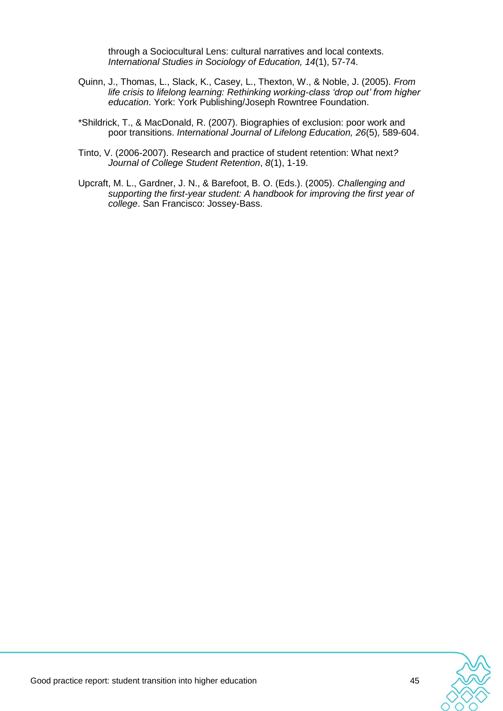through a Sociocultural Lens: cultural narratives and local contexts. *International Studies in Sociology of Education, 14*(1), 57-74.

- Quinn, J., Thomas, L., Slack, K., Casey, L., Thexton, W., & Noble, J. (2005). *From life crisis to lifelong learning: Rethinking working-class "drop out" from higher education*. York: York Publishing/Joseph Rowntree Foundation.
- \*Shildrick, T., & MacDonald, R. (2007). Biographies of exclusion: poor work and poor transitions. *International Journal of Lifelong Education, 26*(5), 589-604.
- Tinto, V. (2006-2007). Research and practice of student retention: What next*? Journal of College Student Retention*, *8*(1), 1-19.
- Upcraft, M. L., Gardner, J. N., & Barefoot, B. O. (Eds.). (2005). *Challenging and supporting the first-year student: A handbook for improving the first year of college*. San Francisco: Jossey-Bass.

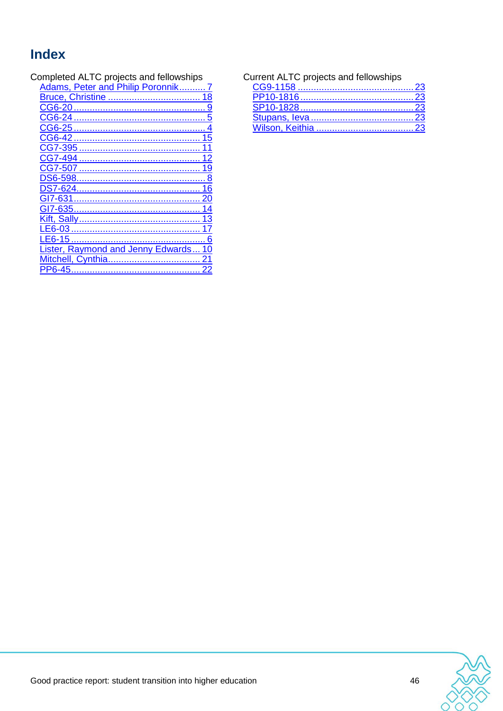# **Index**

|  | Completed ALTC projects and fellowships |
|--|-----------------------------------------|
|--|-----------------------------------------|

| Adams, Peter and Philip Poronnik |    |
|----------------------------------|----|
|                                  | 8  |
| G6-2                             | 9  |
|                                  |    |
| G6-25                            |    |
| CG6-42                           | 5  |
|                                  |    |
| CG7-494                          | 12 |
| 7-50                             | 19 |
|                                  | 8  |
| -624 <u></u>                     | 16 |
| 7-63                             |    |
|                                  | 4  |
|                                  | 3  |
| E6-03 …….                        |    |
| 6-15                             | 6  |
| ister, Raymond and Jenny Edwards |    |
| Mitchell, Cynthia                |    |
| P6-45                            |    |
|                                  |    |

Current ALTC projects and fellowships